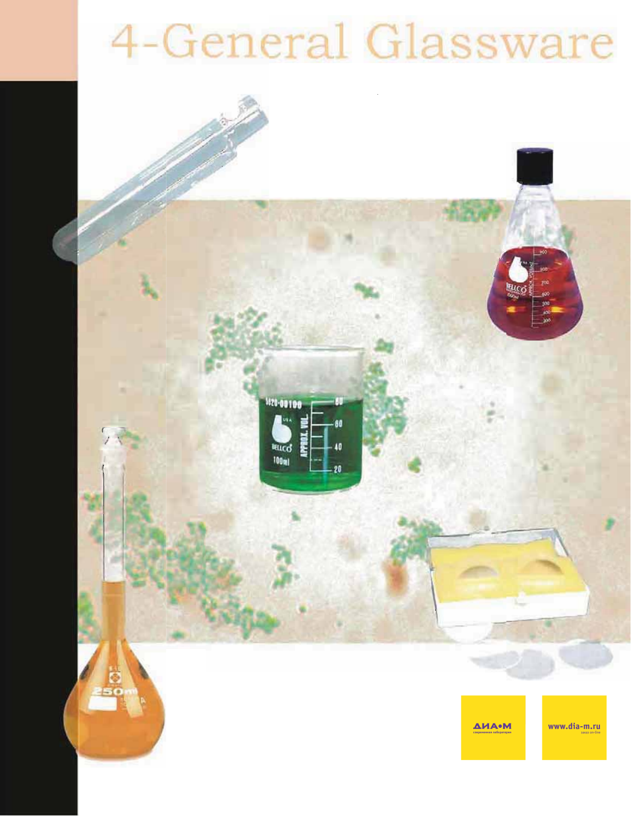# 4-General Glassware

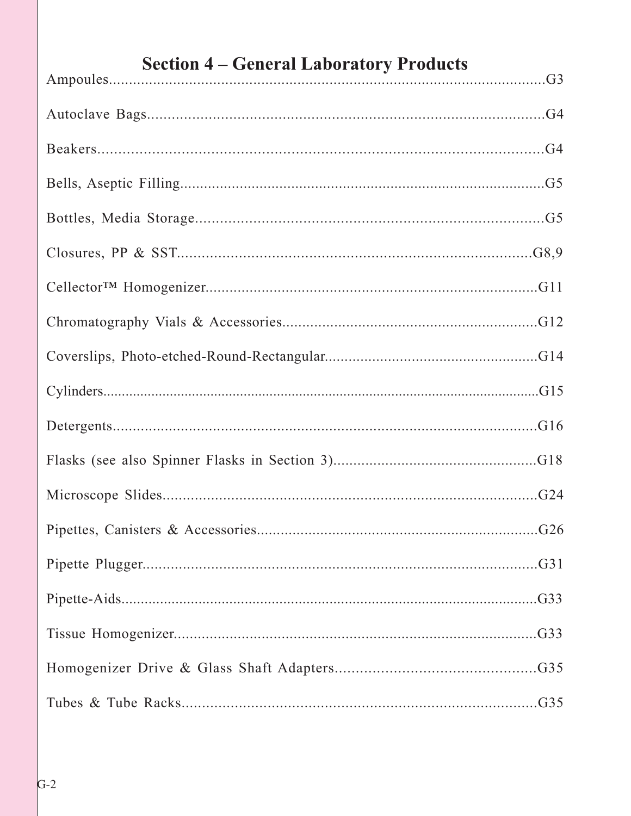| <b>Section 4 – General Laboratory Products</b> |
|------------------------------------------------|
|                                                |
|                                                |
|                                                |
|                                                |
|                                                |
|                                                |
|                                                |
|                                                |
|                                                |
|                                                |
|                                                |
|                                                |
|                                                |
|                                                |
|                                                |
|                                                |
|                                                |
|                                                |

### $G-2$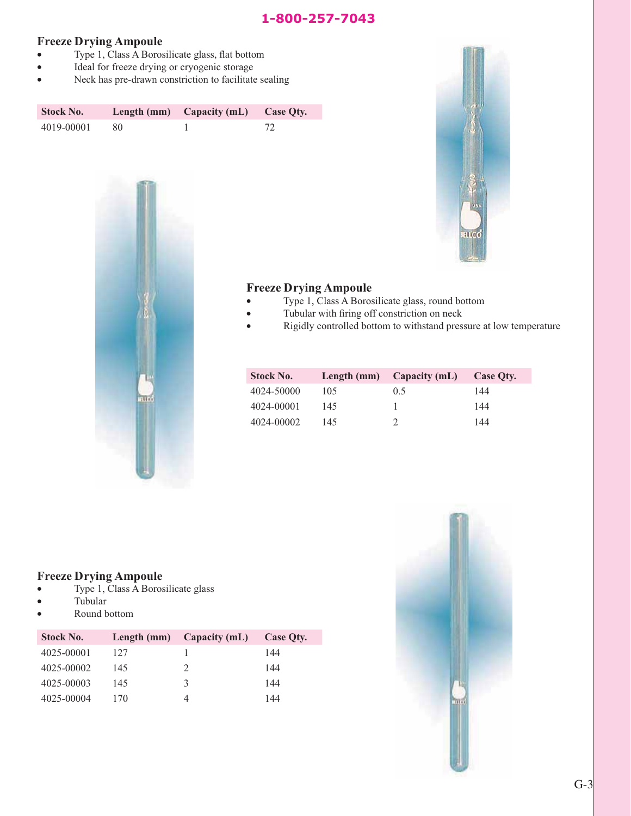#### **Freeze Drying Ampoule**

- Type 1, Class A Borosilicate glass, flat bottom
- Ideal for freeze drying or cryogenic storage
- Neck has pre-drawn constriction to facilitate sealing

| <b>Stock No.</b> |    | Length $(mm)$ Capacity $(mL)$ | Case Oty. |
|------------------|----|-------------------------------|-----------|
| 4019-00001       | 80 |                               | 72        |





#### **Freeze Drying Ampoule**

- v Type 1, Class A Borosilicate glass, round bottom
- Tubular with firing off constriction on neck
- Rigidly controlled bottom to withstand pressure at low temperature

| <b>Stock No.</b> |     | Length $(mm)$ Capacity $(mL)$ | Case Oty. |
|------------------|-----|-------------------------------|-----------|
| 4024-50000       | 105 | 0.5                           | 144       |
| 4024-00001       | 145 |                               | 144       |
| 4024-00002       | 145 |                               | 144       |

#### **Freeze Drying Ampoule**

- $\bullet$  Type 1, Class A Borosilicate glass
- Tubular
- Round bottom

| <b>Stock No.</b> |     | Length (mm) Capacity (mL) | Case Oty. |
|------------------|-----|---------------------------|-----------|
| 4025-00001       | 127 |                           | 144       |
| 4025-00002       | 145 | $\mathcal{L}$             | 144       |
| 4025-00003       | 145 | 3                         | 144       |
| 4025-00004       | 170 |                           | 144       |

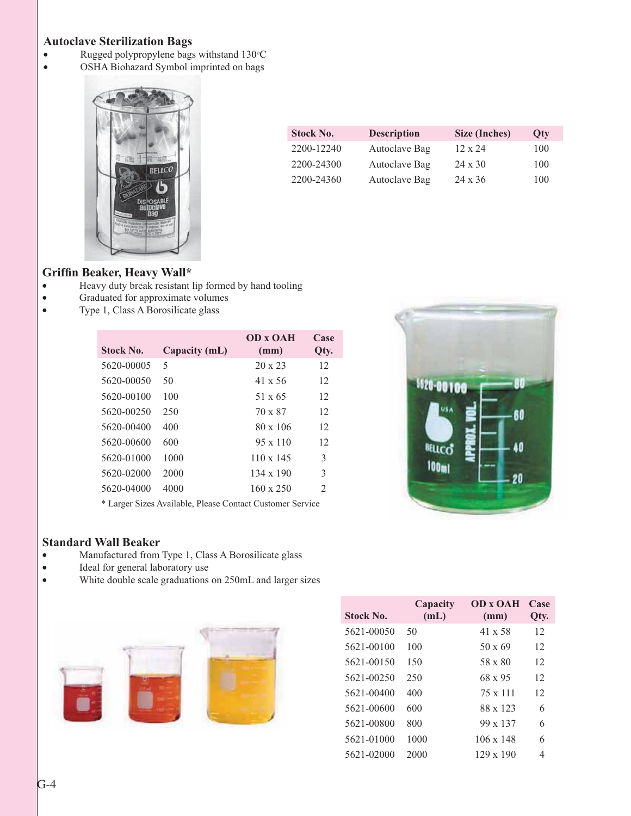#### **Autoclave Sterilization Bags**

- Rugged polypropylene bags withstand 130°C
- v OSHA Biohazard Symbol imprinted on bags



| <b>Stock No.</b> | <b>Description</b> | Size (Inches)  | Oty |
|------------------|--------------------|----------------|-----|
| 2200-12240       | Autoclave Bag      | $12 \times 24$ | 100 |
| 2200-24300       | Autoclave Bag      | $24 \times 30$ | 100 |
| 2200-24360       | Autoclave Bag      | $24 \times 36$ | 100 |

#### **Griffin Beaker, Heavy Wall\***

- v Heavy duty break resistant lip formed by hand tooling
- Graduated for approximate volumes
- Type 1, Class A Borosilicate glass

| Stock No.  | Capacity (mL) | <b>OD x OAH</b><br>(mm) | Case<br>Qty. |
|------------|---------------|-------------------------|--------------|
| 5620-00005 | 5             | $20 \times 23$          | 12           |
| 5620-00050 | 50            | 41 x 56                 | 12           |
| 5620-00100 | 100           | $51 \times 65$          | 12           |
| 5620-00250 | 250           | 70 x 87                 | 12           |
| 5620-00400 | 400           | $80 \times 106$         | 12           |
| 5620-00600 | 600           | $95 \times 110$         | 12           |
| 5620-01000 | 1000          | $110 \times 145$        | 3            |
| 5620-02000 | 2000          | $134 \times 190$        | 3            |
| 5620-04000 | 4000          | $160 \times 250$        | 2            |
|            |               |                         |              |

\* Larger Sizes Available, Please Contact Customer Service

#### **Standard Wall Beaker**

- v Manufactured from Type 1, Class A Borosilicate glass
- Ideal for general laboratory use
- White double scale graduations on 250mL and larger sizes





820-0010

⊯ucc  $100<sub>m1</sub>$  60

20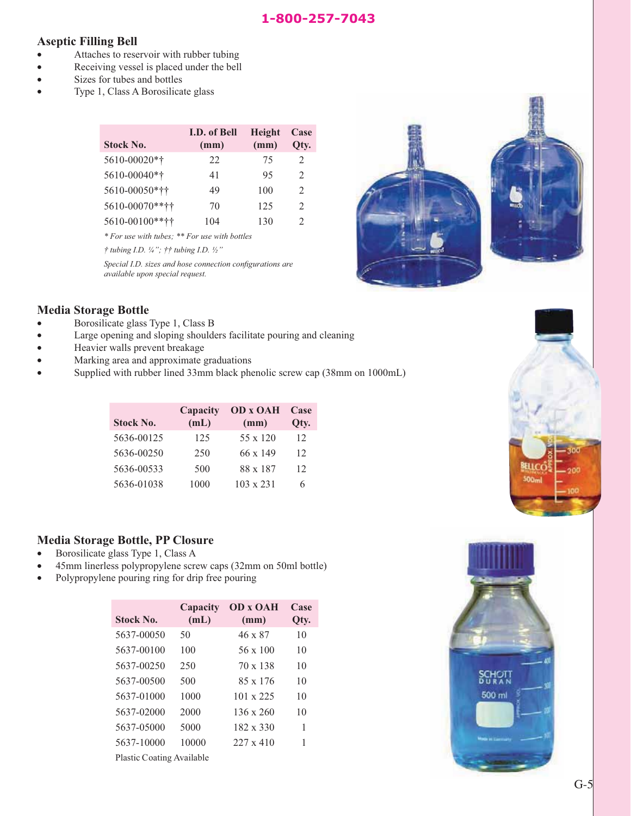#### **Aseptic Filling Bell**

- Attaches to reservoir with rubber tubing
- Receiving vessel is placed under the bell
- Sizes for tubes and bottles
- Type 1, Class A Borosilicate glass

| <b>Stock No.</b> | <b>I.D.</b> of Bell<br>(mm) | <b>Height</b><br>(mm) | Case<br>Oty.                |
|------------------|-----------------------------|-----------------------|-----------------------------|
| 5610-00020*†     | 22                          | 75                    | $\mathcal{L}$               |
| 5610-00040*†     | 41                          | 95                    | $\mathfrak{D}$              |
| 5610-00050*††    | 49                          | 100                   | $\mathcal{D}_{\mathcal{L}}$ |
| 5610-00070 ****  | 70                          | 125                   | $\mathfrak{D}$              |
| 5610-00100**††   | 104                         | 130                   | $\mathcal{D}_{\mathcal{L}}$ |

*\* For use with tubes; \*\* For use with bottles* 

*† tubing I.D. ¼"; †† tubing I.D. ½"*

*Special I.D. sizes and hose connection configurations are available upon special request.*



#### **Media Storage Bottle**

- Borosilicate glass Type 1, Class B
- v Large opening and sloping shoulders facilitate pouring and cleaning
- **v** Heavier walls prevent breakage
- Marking area and approximate graduations
- Supplied with rubber lined 33mm black phenolic screw cap (38mm on 1000mL)

| <b>Stock No.</b> | Capacity<br>(mL) | <b>OD x OAH</b><br>(mm) | Case<br>Qty.    |
|------------------|------------------|-------------------------|-----------------|
| 5636-00125       | 125              | $55 \times 120$         | 12 <sup>2</sup> |
| 5636-00250       | 250              | 66 x 149                | 12              |
| 5636-00533       | 500              | 88 x 187                | 12              |
| 5636-01038       | 1000             | $103 \times 231$        | 6               |

#### **Media Storage Bottle, PP Closure**

- Borosilicate glass Type 1, Class A
- v 45mm linerless polypropylene screw caps (32mm on 50ml bottle)
- Polypropylene pouring ring for drip free pouring

| <b>Stock No.</b>          | Capacity<br>(mL) | <b>OD x OAH</b><br>(mm) | Case<br>Qty. |
|---------------------------|------------------|-------------------------|--------------|
| 5637-00050                | 50               | 46 x 87                 | 10           |
| 5637-00100                | 100              | $56 \times 100$         | 10           |
| 5637-00250                | 250              | $70 \times 138$         | 10           |
| 5637-00500                | 500              | 85 x 176                | 10           |
| 5637-01000                | 1000             | $101 \times 225$        | 10           |
| 5637-02000                | 2000             | $136 \times 260$        | 10           |
| 5637-05000                | 5000             | $182 \times 330$        | 1            |
| 5637-10000                | 10000            | $227 \times 410$        | 1            |
| Plastic Coating Available |                  |                         |              |

Plastic Coating Available



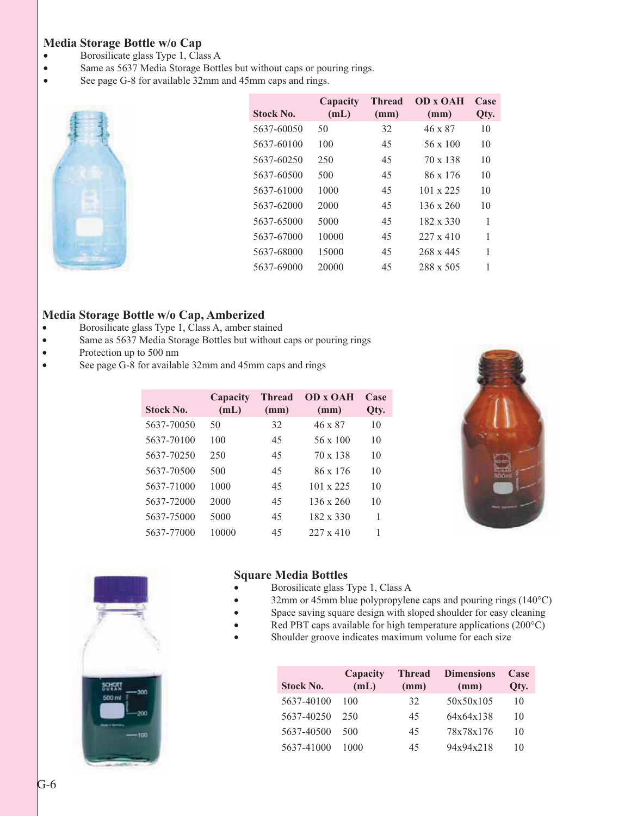#### **Media Storage Bottle w/o Cap**

- Borosilicate glass Type 1, Class A
- Same as 5637 Media Storage Bottles but without caps or pouring rings.
- See page G-8 for available 32mm and 45mm caps and rings.

| <b>Stock No.</b> | Capacity<br>(mL) | <b>Thread</b><br>(mm) | <b>OD x OAH</b><br>(mm) | Case<br>Qty. |
|------------------|------------------|-----------------------|-------------------------|--------------|
| 5637-60050       | 50               | 32                    | 46 x 87                 | 10           |
| 5637-60100       | 100              | 45                    | $56 \times 100$         | 10           |
| 5637-60250       | 250              | 45                    | $70 \times 138$         | 10           |
| 5637-60500       | 500              | 45                    | $86 \times 176$         | 10           |
| 5637-61000       | 1000             | 45                    | $101 \times 225$        | 10           |
| 5637-62000       | 2000             | 45                    | $136 \times 260$        | 10           |
| 5637-65000       | 5000             | 45                    | $182 \times 330$        | 1            |
| 5637-67000       | 10000            | 45                    | $227 \times 410$        |              |
| 5637-68000       | 15000            | 45                    | $268 \times 445$        | 1            |
| 5637-69000       | 20000            | 45                    | 288 x 505               |              |
|                  |                  |                       |                         |              |

#### **Media Storage Bottle w/o Cap, Amberized**

- v Borosilicate glass Type 1, Class A, amber stained
- Same as 5637 Media Storage Bottles but without caps or pouring rings
- Protection up to 500 nm
- v See page G-8 for available 32mm and 45mm caps and rings

| <b>Stock No.</b> | Capacity<br>(mL) | <b>Thread</b><br>(mm) | <b>OD</b> x <b>OAH</b><br>(mm) | Case<br>Qty. |
|------------------|------------------|-----------------------|--------------------------------|--------------|
| 5637-70050       | 50               | 32                    | 46 x 87                        | 10           |
| 5637-70100       | 100              | 45                    | $56 \times 100$                | 10           |
| 5637-70250       | 250              | 45                    | $70 \times 138$                | 10           |
| 5637-70500       | 500              | 45                    | 86 x 176                       | 10           |
| 5637-71000       | 1000             | 45                    | $101 \times 225$               | 10           |
| 5637-72000       | 2000             | 45                    | $136 \times 260$               | 10           |
| 5637-75000       | 5000             | 45                    | $182 \times 330$               | 1            |
| 5637-77000       | 10000            | 45                    | $227 \times 410$               | 1            |





#### **Square Media Bottles**

- Borosilicate glass Type 1, Class A
- 32mm or 45mm blue polypropylene caps and pouring rings  $(140^{\circ}C)$
- Space saving square design with sloped shoulder for easy cleaning
- Red PBT caps available for high temperature applications  $(200^{\circ}C)$
- Shoulder groove indicates maximum volume for each size

| <b>Stock No.</b> | Capacity<br>(mL) | <b>Thread</b><br>(mm) | <b>Dimensions</b><br>(mm) | Case<br>Oty. |
|------------------|------------------|-----------------------|---------------------------|--------------|
| 5637-40100       | 100              | 32                    | 50x50x105                 | 10           |
| 5637-40250       | 250              | 45                    | 64x64x138                 | 10           |
| 5637-40500       | 500              | 45                    | 78x78x176                 | 10           |
| 5637-41000       | 1000             | 45                    | 94x94x218                 | 10           |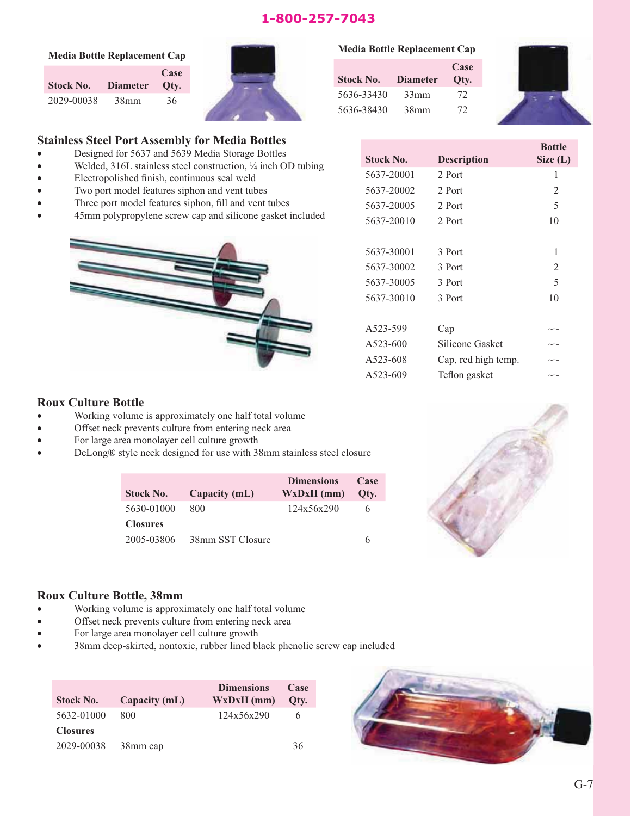#### 1-800-257-7043 **1-800-257-7043**

|  |  | <b>Media Bottle Replacement Cap</b> |  |
|--|--|-------------------------------------|--|
|--|--|-------------------------------------|--|

**Stock No. Diameter Case Qty.** 2029-00038 38mm 36



#### **Media Bottle Replacement Cap**

| <b>Stock No.</b> | <b>Diameter</b>  | Case<br>Oty. |
|------------------|------------------|--------------|
| 5636-33430       | 33mm             | 72           |
| 5636-38430       | 38 <sub>mm</sub> | 72           |



#### **Stainless Steel Port Assembly for Media Bottles**

- Designed for 5637 and 5639 Media Storage Bottles
- Welded, 316L stainless steel construction,  $\frac{1}{4}$  inch OD tubing
- v Electropolished finish, continuous seal weld
- Two port model features siphon and vent tubes
- Three port model features siphon, fill and vent tubes
- v 45mm polypropylene screw cap and silicone gasket included



| <b>Stock No.</b> | <b>Description</b>  | <b>Bottle</b><br>Size(L)  |
|------------------|---------------------|---------------------------|
| 5637-20001       | 2 Port              | 1                         |
| 5637-20002       | 2 Port              | 2                         |
| 5637-20005       | 2 Port              | 5                         |
| 5637-20010       | 2 Port              | 10                        |
|                  |                     |                           |
| 5637-30001       | 3 Port              | 1                         |
| 5637-30002       | 3 Port              | 2                         |
| 5637-30005       | 3 Port              | 5                         |
| 5637-30010       | 3 Port              | 10                        |
|                  |                     |                           |
| A523-599         | Cap                 | $\sim$                    |
| A523-600         | Silicone Gasket     | $\widetilde{\phantom{a}}$ |
| A523-608         | Cap, red high temp. | $\sim$                    |
| A523-609         | Teflon gasket       | ∽                         |

#### **Roux Culture Bottle**

- Working volume is approximately one half total volume
- Offset neck prevents culture from entering neck area
- For large area monolayer cell culture growth
- DeLong® style neck designed for use with 38mm stainless steel closure

| Stock No.       | Capacity (mL)    | <b>Dimensions</b><br>$WxDxH$ (mm) | Case<br>Otv. |
|-----------------|------------------|-----------------------------------|--------------|
| 5630-01000      | 800              | 124x56x290                        |              |
| <b>Closures</b> |                  |                                   |              |
| 2005-03806      | 38mm SST Closure |                                   | 6            |



#### **Roux Culture Bottle, 38mm**

- Working volume is approximately one half total volume
- Offset neck prevents culture from entering neck area
- For large area monolayer cell culture growth
- 38mm deep-skirted, nontoxic, rubber lined black phenolic screw cap included

| <b>Stock No.</b> | Capacity (mL) | <b>Dimensions</b><br>$WxDxH$ (mm) | Case<br>Otv. |
|------------------|---------------|-----------------------------------|--------------|
| 5632-01000       | 800           | 124x56x290                        | 6            |
| <b>Closures</b>  |               |                                   |              |
| 2029-00038       | 38mm cap      |                                   | 36           |

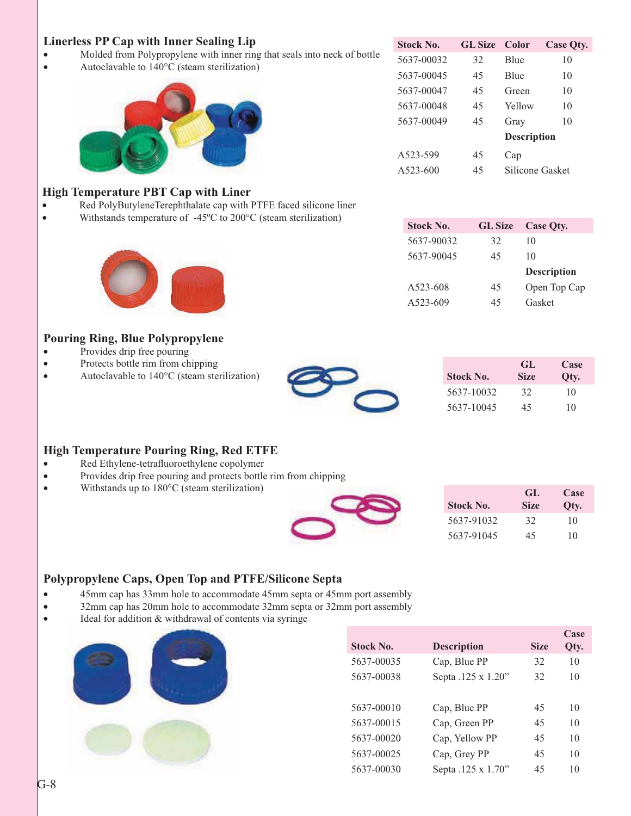#### **Linerless PP Cap with Inner Sealing Lip**

- Molded from Polypropylene with inner ring that seals into neck of bottle
- Autoclavable to 140°C (steam sterilization)



| <b>Stock No.</b> | <b>GL</b> Size | Color              | Case Qty. |
|------------------|----------------|--------------------|-----------|
| 5637-00032       | 32             | <b>B</b> lue       | 10        |
| 5637-00045       | 45             | <b>Blue</b>        | 10        |
| 5637-00047       | 45             | Green              | 10        |
| 5637-00048       | 45             | Yellow             | 10        |
| 5637-00049       | 45             | Gray               | 10        |
|                  |                | <b>Description</b> |           |
| A523-599         | 45             | Cap                |           |
| A523-600         | 45             | Silicone Gasket    |           |

#### **High Temperature PBT Cap with Liner**

- Red PolyButyleneTerephthalate cap with PTFE faced silicone liner
- Withstands temperature of  $-45^{\circ}$ C to 200°C (steam sterilization) **Stock No. GL Size Case Qty.**



#### **Pouring Ring, Blue Polypropylene**

- Provides drip free pouring
- Protects bottle rim from chipping
- Autoclavable to  $140^{\circ}$ C (steam sterilization)



|                  | GL.         | Case |
|------------------|-------------|------|
| <b>Stock No.</b> | <b>Size</b> | Oty. |
| 5637-10032       | 32          | 10   |
| 5637-10045       | 45          | 10   |

#### **High Temperature Pouring Ring, Red ETFE**

- Red Ethylene-tetrafluoroethylene copolymer
- Provides drip free pouring and protects bottle rim from chipping
- Withstands up to  $180^{\circ}$ C (steam sterilization)

| <b>Stock No.</b> | GL.<br><b>Size</b> | Case<br>Qty. |
|------------------|--------------------|--------------|
| 5637-91032       | 32                 | 10           |
| 5637-91045       | 45                 | 10           |

#### **Polypropylene Caps, Open Top and PTFE/Silicone Septa**

- 45mm cap has 33mm hole to accommodate 45mm septa or 45mm port assembly
- 32mm cap has 20mm hole to accommodate 32mm septa or 32mm port assembly
- Ideal for addition & withdrawal of contents via syringe



| <b>Stock No.</b> | <b>Description</b> | <b>Size</b> | Case<br>Qty. |
|------------------|--------------------|-------------|--------------|
| 5637-00035       | Cap, Blue PP       | 32          | 10           |
| 5637-00038       | Septa .125 x 1.20" | 32          | 10           |
|                  |                    |             |              |
| 5637-00010       | Cap, Blue PP       | 45          | 10           |
| 5637-00015       | Cap, Green PP      | 45          | 10           |
| 5637-00020       | Cap, Yellow PP     | 45          | 10           |
| 5637-00025       | Cap, Grey PP       | 45          | 10           |
| 5637-00030       | Septa .125 x 1.70" | 45          | 10           |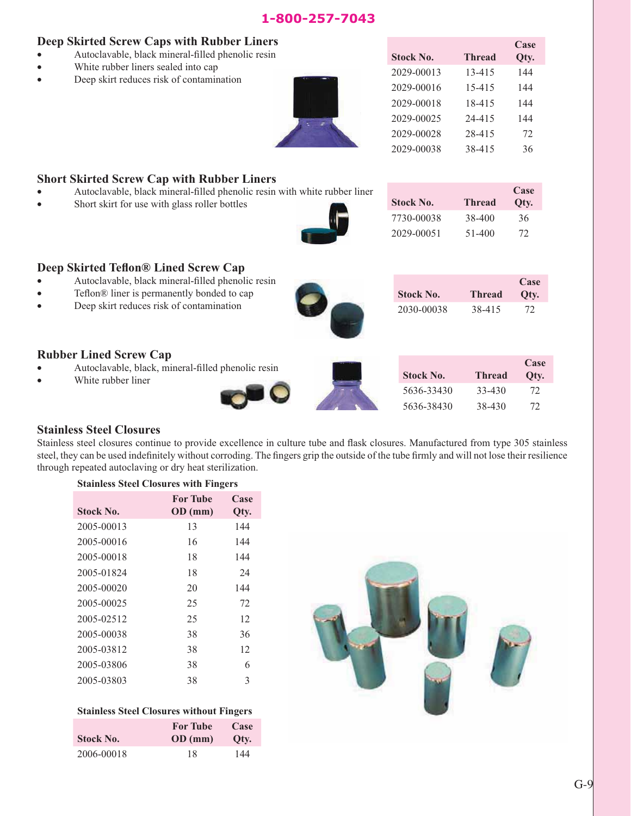#### 1-800-257-7043 **1-800-257-7043**

#### **Deep Skirted Screw Caps with Rubber Liners**

- Autoclavable, black mineral-filled phenolic resin
- White rubber liners sealed into cap
- Deep skirt reduces risk of contamination



|                  |            | Case |
|------------------|------------|------|
| <b>Stock No.</b> | Thread     | Qty. |
| 2029-00013       | $13 - 415$ | 144  |
| 2029-00016       | 15-415     | 144  |
| 2029-00018       | 18-415     | 144  |
| 2029-00025       | 24-415     | 144  |
| 2029-00028       | 28-415     | 72   |
| 2029-00038       | 38-415     | 36   |

#### **Short Skirted Screw Cap with Rubber Liners**

- Autoclavable, black mineral-filled phenolic resin with white rubber liner
- Short skirt for use with glass roller bottles



| <b>Stock No.</b> | <b>Thread</b> | Case<br>Oty. |
|------------------|---------------|--------------|
| 7730-00038       | 38-400        | 36           |
| 2029-00051       | 51-400        | 72           |

**Case Qty.**

#### **Deep Skirted Teflon® Lined Screw Cap**

- Autoclavable, black mineral-filled phenolic resin
- Teflon® liner is permanently bonded to cap
- v Deep skirt reduces risk of contamination

#### **Rubber Lined Screw Cap**

Autoclavable, black, mineral-filled phenolic resin

**Stainless Steel Closures with Fingers**



**Case Qty.** 5636-33430 33-430 72

5636-38430 38-430 72

**Stock No. Thread**

2030-00038 38-415 72

#### **Stainless Steel Closures**

Stainless steel closures continue to provide excellence in culture tube and flask closures. Manufactured from type 305 stainless steel, they can be used indefinitely without corroding. The fingers grip the outside of the tube firmly and will not lose their resilience through repeated autoclaving or dry heat sterilization.

| <b>Stock No.</b> | <b>For Tube</b><br>OD (mm) | Case<br>Qty. |  |
|------------------|----------------------------|--------------|--|
| 2005-00013       | 13                         | 144          |  |
| 2005-00016       | 16                         | 144          |  |
| 2005-00018       | 18                         | 144          |  |
| 2005-01824       | 18                         | 24           |  |
| 2005-00020       | 20                         | 144          |  |
| 2005-00025       | 25                         | 72           |  |
| 2005-02512       | 25                         | 12           |  |
| 2005-00038       | 38                         | 36           |  |
| 2005-03812       | 38                         | 12           |  |
| 2005-03806       | 38                         | 6            |  |
| 2005-03803       | 38                         | 3            |  |

#### **Stainless Steel Closures without Fingers**

| <b>Stock No.</b> | <b>For Tube</b><br>OD (mm) | Case<br>Oty. |
|------------------|----------------------------|--------------|
| 2006-00018       | 18                         | 144          |

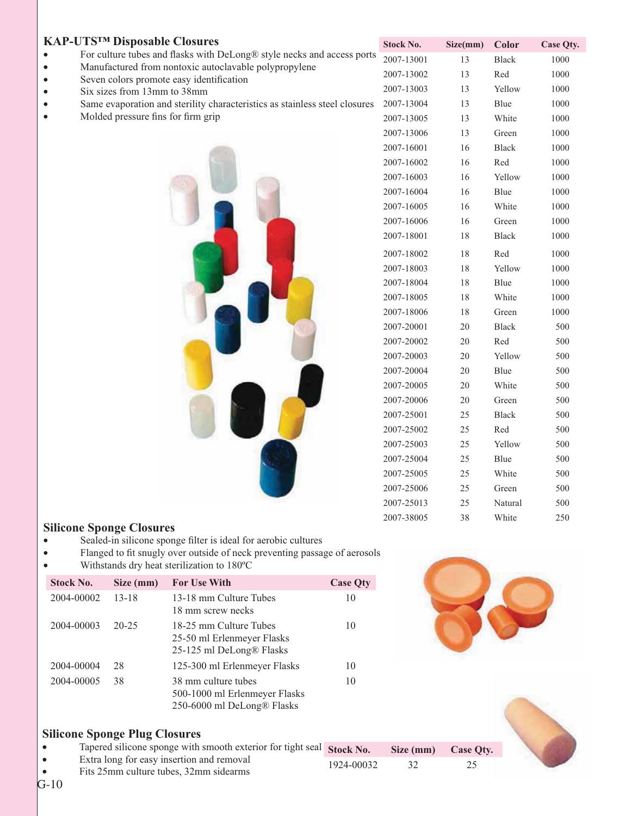| <b>KAP-UTSTM Disposable Closures</b>                                                              | <b>Stock No.</b> | Size(mm) | <b>Color</b> | Case Qty. |
|---------------------------------------------------------------------------------------------------|------------------|----------|--------------|-----------|
| For culture tubes and flasks with DeLong® style necks and access ports                            | 2007-13001       | 13       | Black        | 1000      |
| Manufactured from nontoxic autoclavable polypropylene<br>Seven colors promote easy identification | 2007-13002       | 13       | Red          | 1000      |
| Six sizes from 13mm to 38mm                                                                       | 2007-13003       | 13       | Yellow       | 1000      |
| Same evaporation and sterility characteristics as stainless steel closures                        | 2007-13004       | 13       | Blue         | 1000      |
| Molded pressure fins for firm grip                                                                | 2007-13005       | 13       | White        | 1000      |
|                                                                                                   | 2007-13006       | 13       | Green        | 1000      |
|                                                                                                   | 2007-16001       | 16       | Black        | 1000      |
|                                                                                                   | 2007-16002       | 16       | Red          | 1000      |
|                                                                                                   | 2007-16003       | 16       | Yellow       | 1000      |
|                                                                                                   | 2007-16004       | 16       | Blue         | 1000      |
|                                                                                                   | 2007-16005       | 16       | White        | 1000      |
|                                                                                                   | 2007-16006       | 16       | Green        | 1000      |
|                                                                                                   | 2007-18001       | $18\,$   | <b>Black</b> | 1000      |
|                                                                                                   | 2007-18002       | 18       | Red          | 1000      |
|                                                                                                   | 2007-18003       | 18       | Yellow       | 1000      |
|                                                                                                   | 2007-18004       | $18\,$   | Blue         | 1000      |
|                                                                                                   | 2007-18005       | 18       | White        | 1000      |
|                                                                                                   | 2007-18006       | 18       | Green        | 1000      |
|                                                                                                   | 2007-20001       | $20\,$   | Black        | 500       |
|                                                                                                   | 2007-20002       | $20\,$   | Red          | 500       |
|                                                                                                   | 2007-20003       | $20\,$   | Yellow       | 500       |
|                                                                                                   | 2007-20004       | 20       | Blue         | 500       |
|                                                                                                   | 2007-20005       | 20       | White        | 500       |
|                                                                                                   | 2007-20006       | 20       | Green        | 500       |
|                                                                                                   | 2007-25001       | 25       | Black        | 500       |
|                                                                                                   | 2007-25002       | 25       | Red          | 500       |
|                                                                                                   | 2007-25003       | 25       | Yellow       | 500       |
|                                                                                                   | 2007-25004       | 25       | Blue         | 500       |
|                                                                                                   | 2007-25005       | 25       | White        | 500       |
|                                                                                                   | 2007-25006       | 25       | Green        | 500       |
|                                                                                                   | 2007-25013       | 25       | Natural      | 500       |
|                                                                                                   | 2007-38005       | 38       | White        | 250       |

#### **Silicone Sponge Closures**

- v Sealed-in silicone sponge filter is ideal for aerobic cultures
- v Flanged to fit snugly over outside of neck preventing passage of aerosols
- Withstands dry heat sterilization to 180°C

| <b>Stock No.</b> | Size (mm) | <b>For Use With</b>                                                                | <b>Case Qty</b> |
|------------------|-----------|------------------------------------------------------------------------------------|-----------------|
| 2004-00002       | $13 - 18$ | 13-18 mm Culture Tubes<br>18 mm screw necks                                        | 10              |
| 2004-00003       | $20 - 25$ | 18-25 mm Culture Tubes<br>25-50 ml Erlenmeyer Flasks<br>25-125 ml DeLong® Flasks   | 10              |
| 2004-00004       | 28        | 125-300 ml Erlenmeyer Flasks                                                       | 10              |
| 2004-00005       | 38        | 38 mm culture tubes<br>500-1000 ml Erlenmeyer Flasks<br>250-6000 ml DeLong® Flasks | 10              |

#### **Silicone Sponge Plug Closures**

- Tapered silicone sponge with smooth exterior for tight seal Stock No.
- v Extra long for easy insertion and removal v Fits 25mm culture tubes, 32mm sidearms
- 1924-00032 32 25

| ٠              |  |
|----------------|--|
| 21 p<br>۰<br>- |  |
|                |  |

**Size (mm)** Case Qty.

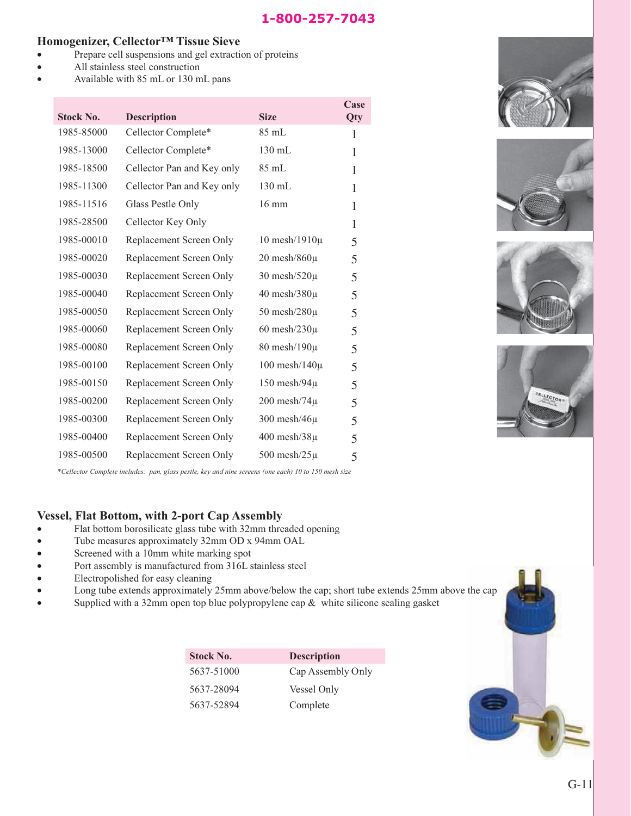#### **Homogenizer, Cellector™ Tissue Sieve**

- Prepare cell suspensions and gel extraction of proteins
- All stainless steel construction
- Available with 85 mL or 130 mL pans

| <b>Stock No.</b> | <b>Description</b>         | <b>Size</b>          | Case<br>Qty |
|------------------|----------------------------|----------------------|-------------|
| 1985-85000       | Cellector Complete*        | 85 mL                | 1           |
| 1985-13000       | Cellector Complete*        | $130$ mL             | 1           |
| 1985-18500       | Cellector Pan and Key only | 85 mL                | 1           |
| 1985-11300       | Cellector Pan and Key only | 130 mL               | 1           |
| 1985-11516       | Glass Pestle Only          | $16 \text{ mm}$      | 1           |
| 1985-28500       | Cellector Key Only         |                      | 1           |
| 1985-00010       | Replacement Screen Only    | $10$ mesh/ $1910\mu$ | 5           |
| 1985-00020       | Replacement Screen Only    | $20$ mesh/ $860\mu$  | 5           |
| 1985-00030       | Replacement Screen Only    | 30 mesh/520 $\mu$    | 5           |
| 1985-00040       | Replacement Screen Only    | 40 mesh $/380\mu$    | 5           |
| 1985-00050       | Replacement Screen Only    | 50 mesh $/280\mu$    | 5           |
| 1985-00060       | Replacement Screen Only    | 60 mesh $/230\mu$    | 5           |
| 1985-00080       | Replacement Screen Only    | $80$ mesh/ $190\mu$  | 5           |
| 1985-00100       | Replacement Screen Only    | $100$ mesh/ $140\mu$ | 5           |
| 1985-00150       | Replacement Screen Only    | $150$ mesh/94 $\mu$  | 5           |
| 1985-00200       | Replacement Screen Only    | $200$ mesh/74 $\mu$  | 5           |
| 1985-00300       | Replacement Screen Only    | 300 mesh $/46\mu$    | 5           |
| 1985-00400       | Replacement Screen Only    | $400$ mesh/ $38\mu$  | 5           |
| 1985-00500       | Replacement Screen Only    | $500$ mesh/ $25\mu$  | 5           |

\**Cellector Complete includes: pan, glass pestle, key and nine screens (one each) 10 to 150 mesh size*

#### **Vessel, Flat Bottom, with 2-port Cap Assembly**

- Flat bottom borosilicate glass tube with 32mm threaded opening
- v Tube measures approximately 32mm OD x 94mm OAL
- Screened with a 10mm white marking spot
- Port assembly is manufactured from 316L stainless steel
- Electropolished for easy cleaning
- Long tube extends approximately 25mm above/below the cap; short tube extends 25mm above the cap
- Supplied with a 32mm open top blue polypropylene cap  $\&$  white silicone sealing gasket

| <b>Stock No.</b> | <b>Description</b> |
|------------------|--------------------|
| 5637-51000       | Cap Assembly Only  |
| 5637-28094       | Vessel Only        |
| 5637-52894       | Complete           |









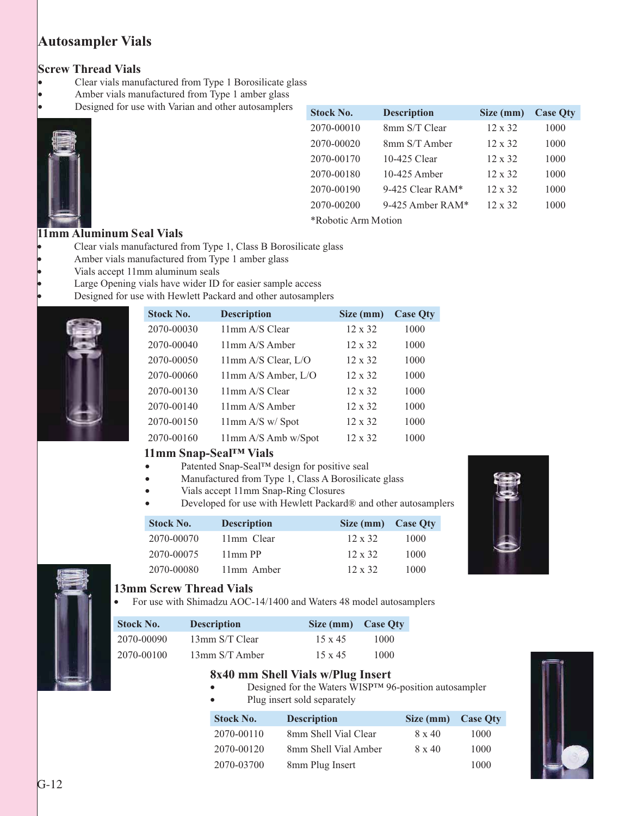### **Autosampler Vials**

#### **Screw Thread Vials**

- Clear vials manufactured from Type 1 Borosilicate glass
- Amber vials manufactured from Type 1 amber glass
- Designed for use with Varian and other autosamplers



| <b>Stock No.</b>    | <b>Description</b> | Size (mm)      | <b>Case Oty</b> |
|---------------------|--------------------|----------------|-----------------|
| 2070-00010          | 8mm S/T Clear      | $12 \times 32$ | 1000            |
| 2070-00020          | 8mm S/T Amber      | $12 \times 32$ | 1000            |
| 2070-00170          | 10-425 Clear       | $12 \times 32$ | 1000            |
| 2070-00180          | 10-425 Amber       | $12 \times 32$ | 1000            |
| 2070-00190          | 9-425 Clear RAM*   | $12 \times 32$ | 1000            |
| 2070-00200          | 9-425 Amber $RAM*$ | $12 \times 32$ | 1000            |
| *Robotic Arm Motion |                    |                |                 |

#### **11mm Aluminum Seal Vials**

- Clear vials manufactured from Type 1, Class B Borosilicate glass
- Amber vials manufactured from Type 1 amber glass
- Vials accept 11mm aluminum seals
	- Large Opening vials have wider ID for easier sample access
	- Designed for use with Hewlett Packard and other autosamplers



| <b>Stock No.</b> | <b>Description</b>     | Size (mm)      | <b>Case Qty</b> |
|------------------|------------------------|----------------|-----------------|
| 2070-00030       | 11mm A/S Clear         | $12 \times 32$ | 1000            |
| 2070-00040       | $11$ mm $A/S$ Amber    | $12 \times 32$ | 1000            |
| 2070-00050       | $11$ mm A/S Clear, L/O | $12 \times 32$ | 1000            |
| 2070-00060       | 11mm A/S Amber, L/O    | $12 \times 32$ | 1000            |
| 2070-00130       | 11mm A/S Clear         | $12 \times 32$ | 1000            |
| 2070-00140       | $11$ mm $A/S$ Amber    | $12 \times 32$ | 1000            |
| 2070-00150       | 11mm A/S w/Spot        | $12 \times 32$ | 1000            |
| 2070-00160       | 11mm A/S Amb w/Spot    | $12 \times 32$ | 1000            |

#### **11mm Snap-Seal™ Vials**

- Patented Snap-Seal™ design for positive seal
- Manufactured from Type 1, Class A Borosilicate glass
- Vials accept 11mm Snap-Ring Closures
- Developed for use with Hewlett Packard® and other autosamplers

| <b>Stock No.</b> | <b>Description</b> | Size (mm) Case Oty |      |
|------------------|--------------------|--------------------|------|
| 2070-00070       | 11mm Clear         | $12 \times 32$     | 1000 |
| 2070-00075       | $11mm$ PP          | $12 \times 32$     | 1000 |
| 2070-00080       | 11mm Amber         | $12 \times 32$     | 1000 |





#### **13mm Screw Thread Vials**

• For use with Shimadzu AOC-14/1400 and Waters 48 model autosamplers

| <b>Stock No.</b> | <b>Description</b> | Size (mm) Case Oty |      |
|------------------|--------------------|--------------------|------|
| 2070-00090       | 13mm S/T Clear     | $15 \times 45$     | 1000 |
| 2070-00100       | 13mm S/T Amber     | $15 \times 45$     | 1000 |

#### **8x40 mm Shell Vials w/Plug Insert**

- Designed for the Waters WISP™ 96-position autosampler
- Plug insert sold separately

| <b>Stock No.</b> | <b>Description</b>   | Size (mm) Case Qty |      |
|------------------|----------------------|--------------------|------|
| 2070-00110       | 8mm Shell Vial Clear | $8 \times 40$      | 1000 |
| 2070-00120       | 8mm Shell Vial Amber | $8 \times 40$      | 1000 |
| 2070-03700       | 8mm Plug Insert      |                    | 1000 |

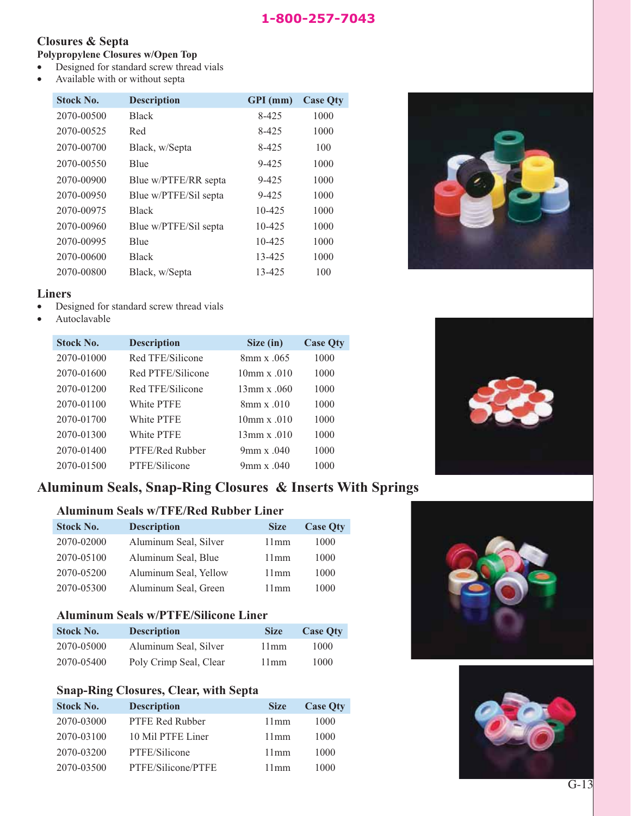#### **Closures & Septa**

#### **Polypropylene Closures w/Open Top**

- Designed for standard screw thread vials
- Available with or without septa

| <b>Stock No.</b> | <b>Description</b>    | GPI (mm) | <b>Case Qty</b> |
|------------------|-----------------------|----------|-----------------|
| 2070-00500       | <b>Black</b>          | 8-425    | 1000            |
| 2070-00525       | Red                   | 8-425    | 1000            |
| 2070-00700       | Black, w/Septa        | 8-425    | 100             |
| 2070-00550       | <b>B</b> lue          | 9-425    | 1000            |
| 2070-00900       | Blue w/PTFE/RR septa  | 9-425    | 1000            |
| 2070-00950       | Blue w/PTFE/Sil septa | 9-425    | 1000            |
| 2070-00975       | <b>Black</b>          | 10-425   | 1000            |
| 2070-00960       | Blue w/PTFE/Sil septa | 10-425   | 1000            |
| 2070-00995       | Blue                  | 10-425   | 1000            |
| 2070-00600       | <b>Black</b>          | 13-425   | 1000            |
| 2070-00800       | Black, w/Septa        | 13-425   | 100             |

#### **Liners**

- Designed for standard screw thread vials
- Autoclavable

| <b>Stock No.</b> | <b>Description</b> | Size (in)                   | <b>Case Qty</b> |
|------------------|--------------------|-----------------------------|-----------------|
| 2070-01000       | Red TFE/Silicone   | $8 \text{mm} \times 0.065$  | 1000            |
| 2070-01600       | Red PTFE/Silicone  | $10mm \times 010$           | 1000            |
| 2070-01200       | Red TFE/Silicone   | $13 \text{mm} \times 0.060$ | 1000            |
| 2070-01100       | White PTFE         | $8$ mm x $.010$             | 1000            |
| 2070-01700       | White PTFE         | $10$ mm x $.010$            | 1000            |
| 2070-01300       | White PTFE         | $13$ mm x .010              | 1000            |
| 2070-01400       | PTFE/Red Rubber    | 9mm x $.040$                | 1000            |
| 2070-01500       | PTFE/Silicone      | 9mm x $.040$                | 1000            |

#### **Aluminum Seals, Snap-Ring Closures & Inserts With Springs**

#### **Aluminum Seals w/TFE/Red Rubber Liner**

| <b>Stock No.</b> | <b>Description</b>    | <b>Size</b> | <b>Case Qty</b> |
|------------------|-----------------------|-------------|-----------------|
| 2070-02000       | Aluminum Seal, Silver | 11mm        | 1000            |
| 2070-05100       | Aluminum Seal, Blue   | 11mm        | 1000            |
| 2070-05200       | Aluminum Seal, Yellow | 11mm        | 1000            |
| 2070-05300       | Aluminum Seal, Green  | 11mm        | 1000            |

#### **Aluminum Seals w/PTFE/Silicone Liner**

| <b>Stock No.</b> | <b>Description</b>     | <b>Size</b> | <b>Case Oty</b> |
|------------------|------------------------|-------------|-----------------|
| 2070-05000       | Aluminum Seal, Silver  | 11mm        | 1000            |
| 2070-05400       | Poly Crimp Seal, Clear | 11mm        | 1000            |

#### **Snap-Ring Closures, Clear, with Septa**

| <b>Stock No.</b> | <b>Description</b>     | <b>Size</b> | <b>Case Qty</b> |
|------------------|------------------------|-------------|-----------------|
| 2070-03000       | <b>PTFE Red Rubber</b> | 11mm        | 1000            |
| 2070-03100       | 10 Mil PTFE Liner      | 11mm        | 1000            |
| 2070-03200       | PTFE/Silicone          | 11mm        | 1000            |
| 2070-03500       | PTFE/Silicone/PTFE     | 11mm        | 1000            |





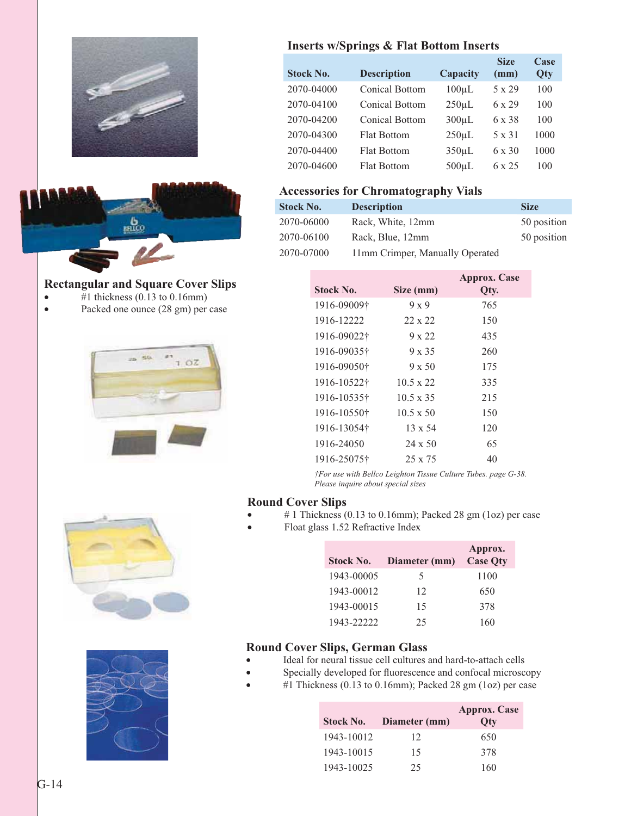

#### **Rectangular and Square Cover Slips**

- $\bullet$  #1 thickness (0.13 to 0.16mm)
- Packed one ounce (28 gm) per case







#### **Inserts w/Springs & Flat Bottom Inserts**

| <b>Stock No.</b> | <b>Description</b>    | Capacity    | <b>Size</b><br>(mm) | Case<br>Qty |
|------------------|-----------------------|-------------|---------------------|-------------|
| 2070-04000       | <b>Conical Bottom</b> | $100 \mu L$ | 5 x 29              | 100         |
| 2070-04100       | Conical Bottom        | $250 \mu L$ | 6 x 29              | 100         |
| 2070-04200       | Conical Bottom        | $300 \mu L$ | 6 x 38              | 100         |
| 2070-04300       | <b>Flat Bottom</b>    | $250 \mu L$ | $5 \times 31$       | 1000        |
| 2070-04400       | <b>Flat Bottom</b>    | $350 \mu L$ | 6 x 30              | 1000        |
| 2070-04600       | <b>Flat Bottom</b>    | $500 \mu L$ | 6 x 25              | 100         |

#### **Accessories for Chromatography Vials**

| <b>Stock No.</b> | <b>Description</b>              | <b>Size</b> |
|------------------|---------------------------------|-------------|
| 2070-06000       | Rack, White, 12mm               | 50 position |
| 2070-06100       | Rack, Blue, 12mm                | 50 position |
| 2070-07000       | 11mm Crimper, Manually Operated |             |

| Stock No.   | Size (mm)        | <b>Approx.</b> Case<br>Qty. |
|-------------|------------------|-----------------------------|
| 1916-09009† | $9 \times 9$     | 765                         |
| 1916-12222  | $22 \times 22$   | 150                         |
| 1916-09022† | 9 x 22           | 435                         |
| 1916-09035† | $9 \times 35$    | 260                         |
| 1916-09050† | $9 \times 50$    | 175                         |
| 1916-10522† | $10.5 \times 22$ | 335                         |
| 1916-10535† | $10.5 \times 35$ | 215                         |
| 1916-10550† | $10.5 \times 50$ | 150                         |
| 1916-13054† | $13 \times 54$   | 120                         |
| 1916-24050  | $24 \times 50$   | 65                          |
| 1916-25075† | $25 \times 75$   | 40                          |

*†For use with Bellco Leighton Tissue Culture Tubes. page G-38. Please inquire about special sizes*

#### **Round Cover Slips**

- #1 Thickness (0.13 to 0.16mm); Packed 28 gm (1oz) per case
- Float glass 1.52 Refractive Index

| <b>Stock No.</b> | Diameter (mm) | Approx.<br><b>Case Oty</b> |
|------------------|---------------|----------------------------|
| 1943-00005       | 5             | 1100                       |
| 1943-00012       | 12            | 650                        |
| 1943-00015       | 15            | 378                        |
| 1943-22222       | 25            | 160                        |

#### **Round Cover Slips, German Glass**

- v Ideal for neural tissue cell cultures and hard-to-attach cells
- Specially developed for fluorescence and confocal microscopy
- #1 Thickness (0.13 to 0.16mm); Packed 28 gm (1oz) per case

| <b>Stock No.</b> | Diameter (mm) | <b>Approx.</b> Case<br>Oty |
|------------------|---------------|----------------------------|
| 1943-10012       | 12            | 650                        |
| 1943-10015       | 15            | 378                        |
| 1943-10025       | 25            | 160                        |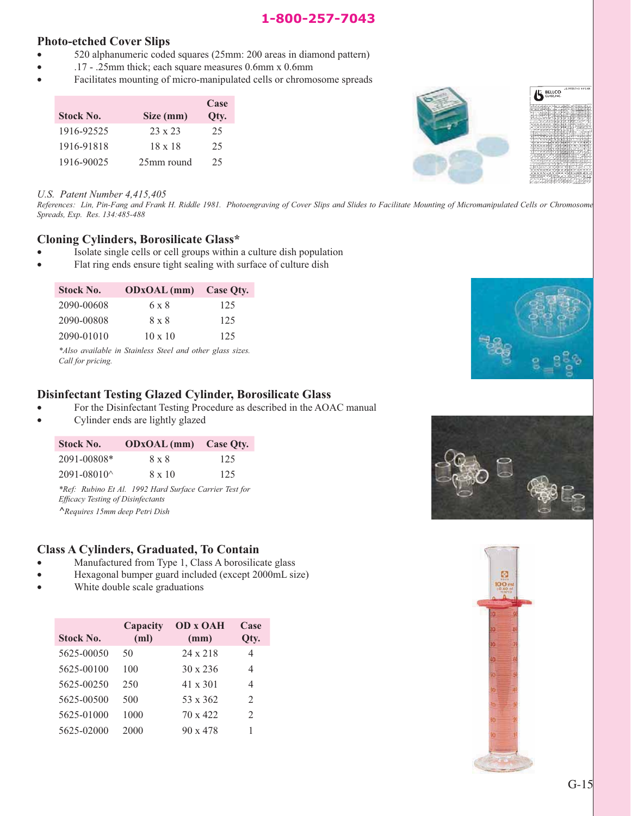#### 1-800-257-7043 **1-800-257-7043**

#### **Photo-etched Cover Slips**

- v 520 alphanumeric coded squares (25mm: 200 areas in diamond pattern)
- v .17 .25mm thick; each square measures 0.6mm x 0.6mm
- Facilitates mounting of micro-manipulated cells or chromosome spreads

|                  |                | Case |
|------------------|----------------|------|
| <b>Stock No.</b> | Size (mm)      | Qty. |
| 1916-92525       | $23 \times 23$ | 25   |
| 1916-91818       | $18 \times 18$ | 25   |
| 1916-90025       | 25mm round     | 25   |



#### *U.S. Patent Number 4,415,405*

*References: Lin, Pin-Fang and Frank H. Riddle 1981. Photoengraving of Cover Slips and Slides to Facilitate Mounting of Micromanipulated Cells or Chromosome Spreads, Exp. Res. 134:485-488*

#### **Cloning Cylinders, Borosilicate Glass\***

- Isolate single cells or cell groups within a culture dish population
- Flat ring ends ensure tight sealing with surface of culture dish

| <b>Stock No.</b> | <b>ODxOAL</b> (mm) | Case Oty. |
|------------------|--------------------|-----------|
| 2090-00608       | 6 x 8              | 125       |
| 2090-00808       | $8 \times 8$       | 125       |
| 2090-01010       | $10 \times 10$     | 125       |

*\*Also available in Stainless Steel and other glass sizes. Call for pricing.*

#### **Disinfectant Testing Glazed Cylinder, Borosilicate Glass**

- For the Disinfectant Testing Procedure as described in the AOAC manual
- Cylinder ends are lightly glazed

| <b>Stock No.</b> | <b>ODxOAL</b> (mm) Case Oty.                           |     |
|------------------|--------------------------------------------------------|-----|
| 2091-00808*      | $8 \times 8$                                           | 125 |
| 2091-08010^      | $8 \times 10$                                          | 125 |
|                  | *Ref: Rubino Et Al. 1992 Hard Surface Carrier Test for |     |

*\*Ref: Rubino Et Al. 1992 Hard Surface Carrier Test for Efficacy Testing of Disinfectants ^Requires 15mm deep Petri Dish*

#### **Class A Cylinders, Graduated, To Contain**

- Manufactured from Type 1, Class A borosilicate glass
- Hexagonal bumper guard included (except 2000mL size)
- White double scale graduations

| <b>Stock No.</b> | Capacity<br>(m <sub>l</sub> ) | <b>OD x OAH</b><br>(mm) | Case<br>Qty.   |
|------------------|-------------------------------|-------------------------|----------------|
| 5625-00050       | 50                            | 24 x 218                | 4              |
| 5625-00100       | 100                           | $30 \times 236$         | 4              |
| 5625-00250       | 250                           | 41 x 301                | 4              |
| 5625-00500       | 500                           | 53 x 362                | $\mathfrak{D}$ |
| 5625-01000       | 1000                          | 70 x 422                | 2              |
| 5625-02000       | 2000                          | $90 \times 478$         | 1              |





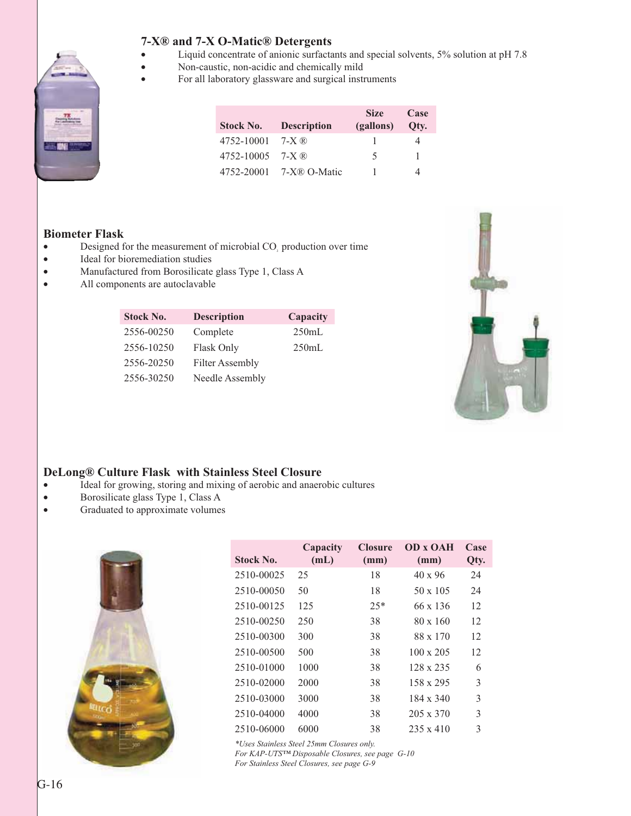#### **7-X® and 7-X O-Matic® Detergents**

- v Liquid concentrate of anionic surfactants and special solvents, 5% solution at pH 7.8
- Non-caustic, non-acidic and chemically mild
- For all laboratory glassware and surgical instruments

| <b>Stock No.</b> | <b>Description</b> | <b>Size</b><br>(gallons) | Case<br>Otv. |
|------------------|--------------------|--------------------------|--------------|
| 4752-10001       | $7-X$ $\circledR$  |                          |              |
| 4752-10005       | 7-X $\mathbb{R}$   | 5                        |              |
| 4752-20001       | 7-X® O-Matic       |                          |              |

#### **Biometer Flask**

- Designed for the measurement of microbial CO<sub>2</sub> production over time
- Ideal for bioremediation studies
- Manufactured from Borosilicate glass Type 1, Class A
- All components are autoclavable

| <b>Stock No.</b> | <b>Description</b>     | Capacity |
|------------------|------------------------|----------|
| 2556-00250       | Complete               | 250mL    |
| 2556-10250       | Flask Only             | 250mL    |
| 2556-20250       | <b>Filter Assembly</b> |          |
| 2556-30250       | Needle Assembly        |          |



#### **DeLong® Culture Flask with Stainless Steel Closure**

- v Ideal for growing, storing and mixing of aerobic and anaerobic cultures
- Borosilicate glass Type 1, Class A
- Graduated to approximate volumes



| <b>Stock No.</b> | Capacity<br>(mL) | <b>Closure</b><br>(mm) | <b>OD x OAH</b><br>(mm) | Case<br>Qty. |
|------------------|------------------|------------------------|-------------------------|--------------|
| 2510-00025       | 25               | 18                     | $40 \times 96$          | 24           |
| 2510-00050       | 50               | 18                     | $50 \times 105$         | 24           |
| 2510-00125       | 125              | $25*$                  | 66 x 136                | 12           |
| 2510-00250       | 250              | 38                     | $80 \times 160$         | 12           |
| 2510-00300       | 300              | 38                     | 88 x 170                | 12           |
| 2510-00500       | 500              | 38                     | $100 \times 205$        | 12           |
| 2510-01000       | 1000             | 38                     | $128 \times 235$        | 6            |
| 2510-02000       | 2000             | 38                     | $158 \times 295$        | 3            |
| 2510-03000       | 3000             | 38                     | $184 \times 340$        | 3            |
| 2510-04000       | 4000             | 38                     | $205 \times 370$        | 3            |
| 2510-06000       | 6000             | 38                     | $235 \times 410$        | 3            |

*\*Uses Stainless Steel 25mm Closures only.*

*For KAP-UTS™ Disposable Closures, see page G-10 For Stainless Steel Closures, see page G-9*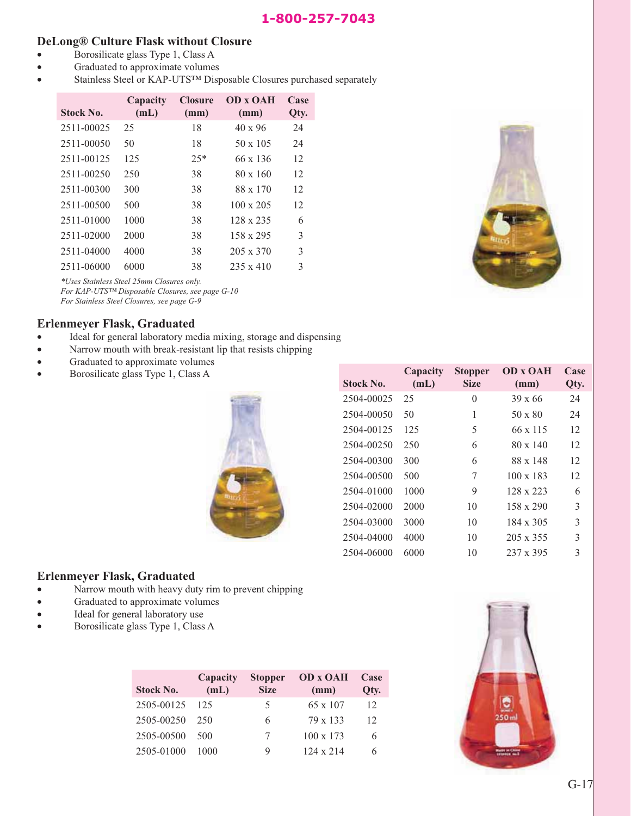#### **DeLong® Culture Flask without Closure**

- Borosilicate glass Type 1, Class A
- Graduated to approximate volumes
- Stainless Steel or KAP-UTSTM Disposable Closures purchased separately

| <b>Stock No.</b> | Capacity<br>(mL) | <b>Closure</b><br>(mm) | <b>OD x OAH</b><br>(mm) | Case<br>Qty. |
|------------------|------------------|------------------------|-------------------------|--------------|
| 2511-00025       | 25               | 18                     | $40 \times 96$          | 24           |
| 2511-00050       | 50               | 18                     | $50 \times 105$         | 24           |
| 2511-00125       | 125              | $2.5*$                 | 66 x 136                | 12           |
| 2511-00250       | 250              | 38                     | $80 \times 160$         | 12           |
| 2511-00300       | 300              | 38                     | 88 x 170                | 12           |
| 2511-00500       | 500              | 38                     | $100 \times 205$        | 12           |
| 2511-01000       | 1000             | 38                     | $128 \times 235$        | 6            |
| 2511-02000       | 2000             | 38                     | 158 x 295               | 3            |
| 2511-04000       | 4000             | 38                     | $205 \times 370$        | 3            |
| 2511-06000       | 6000             | 38                     | $235 \times 410$        | 3            |

*\*Uses Stainless Steel 25mm Closures only. For KAP-UTS™ Disposable Closures, see page G-10 For Stainless Steel Closures, see page G-9*

#### **Erlenmeyer Flask, Graduated**

- Ideal for general laboratory media mixing, storage and dispensing
- Narrow mouth with break-resistant lip that resists chipping
- Graduated to approximate volumes
- $\bullet$  Borosilicate glass Type 1, Class A



| Stock No.  | Capacity<br>(mL) | <b>Stopper</b><br><b>Size</b> | <b>OD x OAH</b><br>(mm) | Case<br>Qty. |
|------------|------------------|-------------------------------|-------------------------|--------------|
| 2504-00025 | 25               | 0                             | $39 \times 66$          | 24           |
| 2504-00050 | 50               | 1                             | 50 x 80                 | 24           |
| 2504-00125 | 125              | 5                             | 66 x 115                | 12           |
| 2504-00250 | 250              | 6                             | 80 x 140                | 12           |
| 2504-00300 | 300              | 6                             | 88 x 148                | 12           |
| 2504-00500 | 500              | 7                             | $100 \times 183$        | 12           |
| 2504-01000 | 1000             | 9                             | 128 x 223               | 6            |
| 2504-02000 | 2000             | 10                            | $158 \times 290$        | 3            |
| 2504-03000 | 3000             | 10                            | $184 \times 305$        | 3            |
| 2504-04000 | 4000             | 10                            | 205 x 355               | 3            |
| 2504-06000 | 6000             | 10                            | 237 x 395               | 3            |

#### **Erlenmeyer Flask, Graduated**

- Narrow mouth with heavy duty rim to prevent chipping
- Graduated to approximate volumes
- Ideal for general laboratory use
- Borosilicate glass Type 1, Class A

| <b>Stock No.</b> | Capacity<br>(mL) | <b>Stopper</b><br><b>Size</b> | <b>OD x OAH</b><br>(mm) | Case<br>Qty. |
|------------------|------------------|-------------------------------|-------------------------|--------------|
| 2505-00125       | 125              | 5                             | 65 x 107                | 12           |
| 2505-00250       | 250              | 6                             | 79 x 133                | 12           |
| 2505-00500       | 500              | 7                             | $100 \times 173$        | 6            |
| 2505-01000       | 1000             | 9                             | $124 \times 214$        | 6            |
|                  |                  |                               |                         |              |

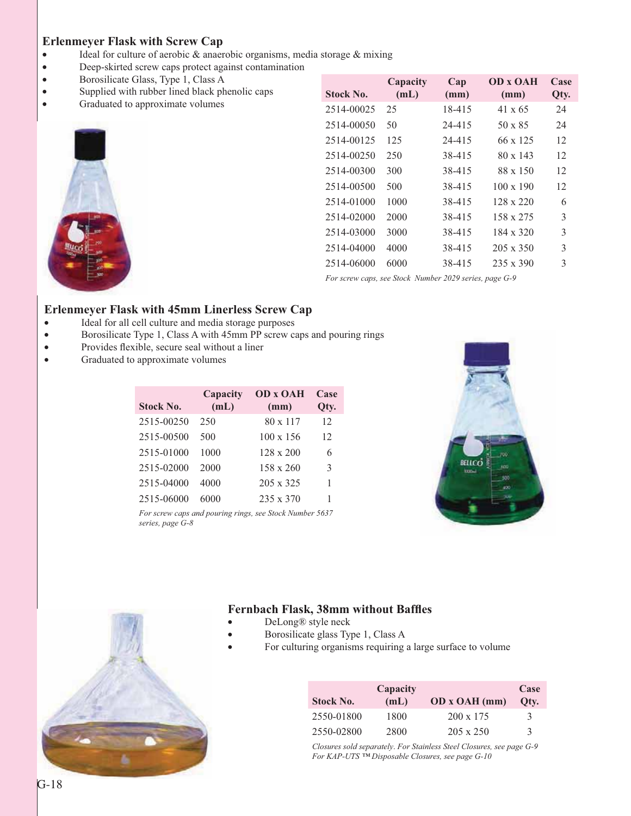#### **Erlenmeyer Flask with Screw Cap**

- Ideal for culture of aerobic & anaerobic organisms, media storage & mixing
- v Deep-skirted screw caps protect against contamination
- v Borosilicate Glass, Type 1, Class A
- Supplied with rubber lined black phenolic caps
- Graduated to approximate volumes



| <b>Stock No.</b> | Capacity<br>(mL) | Cap<br>(mm) | <b>OD x OAH</b><br>(mm) | Case<br>Qty. |
|------------------|------------------|-------------|-------------------------|--------------|
| 2514-00025       | 25               | 18-415      | $41 \times 65$          | 24           |
| 2514-00050       | 50               | 24-415      | $50 \times 85$          | 24           |
| 2514-00125       | 125              | 24-415      | 66 x 125                | 12           |
| 2514-00250       | 250              | 38-415      | 80 x 143                | 12           |
| 2514-00300       | 300              | 38-415      | $88 \times 150$         | 12           |
| 2514-00500       | 500              | 38-415      | $100 \times 190$        | 12           |
| 2514-01000       | 1000             | 38-415      | $128 \times 220$        | 6            |
| 2514-02000       | 2000             | 38-415      | 158 x 275               | 3            |
| 2514-03000       | 3000             | 38-415      | 184 x 320               | 3            |
| 2514-04000       | 4000             | 38-415      | $205 \times 350$        | 3            |
| 2514-06000       | 6000             | 38-415      | $235 \times 390$        | 3            |
|                  |                  |             |                         |              |

*For screw caps, see Stock Number 2029 series, page G-9*

#### **Erlenmeyer Flask with 45mm Linerless Screw Cap**

- v Ideal for all cell culture and media storage purposes
- v Borosilicate Type 1, Class A with 45mm PP screw caps and pouring rings
- Provides flexible, secure seal without a liner
- Graduated to approximate volumes

| <b>Stock No.</b> | Capacity<br>(mL) | <b>OD x OAH</b><br>(mm) | Case<br>Qty. |
|------------------|------------------|-------------------------|--------------|
| 2515-00250       | 250              | 80 x 117                | 12           |
| 2515-00500       | 500              | $100 \times 156$        | 12           |
| 2515-01000       | 1000             | $128 \times 200$        | 6            |
| 2515-02000       | 2000             | 158 x 260               | 3            |
| 2515-04000       | 4000             | $205 \times 325$        | 1            |
| 2515-06000       | 6000             | 235 x 370               | 1            |

*For screw caps and pouring rings, see Stock Number 5637 series, page G-8*





#### **Fernbach Flask, 38mm without Baffles**

- DeLong® style neck
- Borosilicate glass Type 1, Class A
- For culturing organisms requiring a large surface to volume

| <b>Stock No.</b> | Capacity<br>(mL) | OD x OAH (mm)    | Case<br>Otv.  |
|------------------|------------------|------------------|---------------|
| 2550-01800       | 1800             | $200 \times 175$ | 3             |
| 2550-02800       | 2800             | $205 \times 250$ | $\mathcal{R}$ |

*Closures sold separately*. *For Stainless Steel Closures, see page G-9 For KAP-UTS ™ Disposable Closures, see page G-10*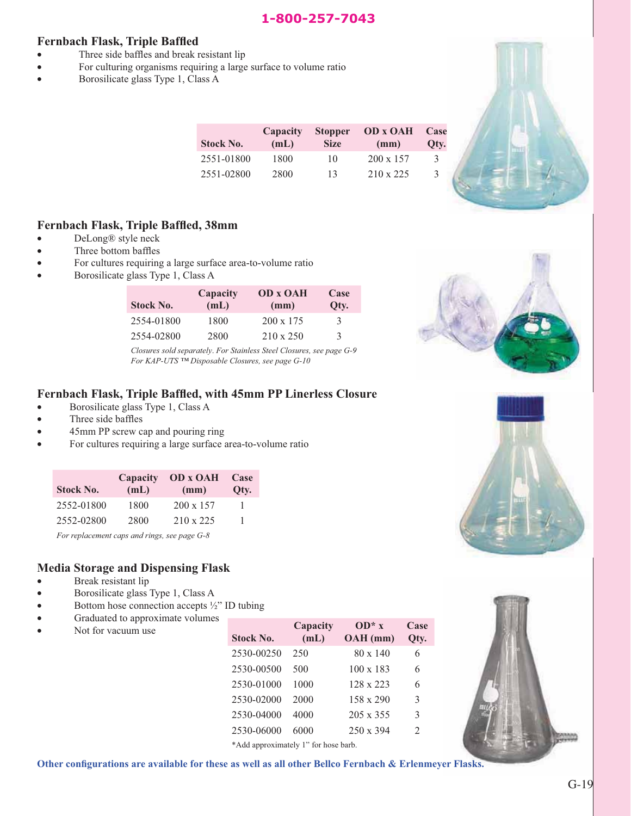#### 1-800-257-7043 **1-800-257-7043**

#### **Fernbach Flask, Triple Baffled**

- Three side baffles and break resistant lip
- For culturing organisms requiring a large surface to volume ratio
- $\bullet$  Borosilicate glass Type 1, Class A

| <b>Stock No.</b> | Capacity<br>(mL) | <b>Stopper</b><br><b>Size</b> | <b>OD x OAH</b><br>(mm) | Case<br>Qty. |
|------------------|------------------|-------------------------------|-------------------------|--------------|
| 2551-01800       | 1800             | 10                            | $200 \times 157$        | 3            |
| 2551-02800       | 2800             | 13                            | 210 x 225               | 3            |

#### **Fernbach Flask, Triple Baffled, 38mm**

- DeLong<sup>®</sup> style neck
- Three bottom baffles
- For cultures requiring a large surface area-to-volume ratio
- Borosilicate glass Type 1, Class A

| <b>Stock No.</b> | Capacity<br>(mL) | <b>OD x OAH</b><br>(mm) | Case<br>Oty.  |
|------------------|------------------|-------------------------|---------------|
| 2554-01800       | 1800             | $200 \times 175$        | 3             |
| 2554-02800       | 2800             | $210 \times 250$        | $\mathcal{R}$ |

*Closures sold separately*. *For Stainless Steel Closures, see page G-9 For KAP-UTS ™ Disposable Closures, see page G-10*

#### **Fernbach Flask, Triple Baffled, with 45mm PP Linerless Closure**

- Borosilicate glass Type 1, Class A
- Three side baffles
- 45mm PP screw cap and pouring ring
- For cultures requiring a large surface area-to-volume ratio

| <b>Stock No.</b> | Capacity<br>(mL) | <b>OD</b> x <b>OAH</b><br>(mm) | Case<br>Qty. |
|------------------|------------------|--------------------------------|--------------|
| 2552-01800       | 1800             | $200 \times 157$               |              |
| 2552-02800       | 2800             | $210 \times 225$               |              |

*For replacement caps and rings, see page G-8*

#### **Media Storage and Dispensing Flask**

- Break resistant lip
- Borosilicate glass Type 1, Class A
- Bottom hose connection accepts  $\frac{1}{2}$ " ID tubing
- Graduated to approximate volumes
- Not for vacuum use

| Stock No.                            | Capacity<br>(mL) | $OD* x$<br>OAH (mm) | Case<br>Oty.                |
|--------------------------------------|------------------|---------------------|-----------------------------|
| 2530-00250                           | 250              | $80 \times 140$     | 6                           |
| 2530-00500                           | 500              | $100 \times 183$    | 6                           |
| 2530-01000                           | 1000             | 128 x 223           | 6                           |
| 2530-02000                           | 2000             | $158 \times 290$    | 3                           |
| 2530-04000                           | 4000             | $205 \times 355$    | 3                           |
| 2530-06000                           | 6000             | $250 \times 394$    | $\mathcal{D}_{\mathcal{L}}$ |
| *Add approximately 1" for hose barb. |                  |                     |                             |



**Other configurations are available for these as well as all other Bellco Fernbach & Erlenmeyer Flasks.**



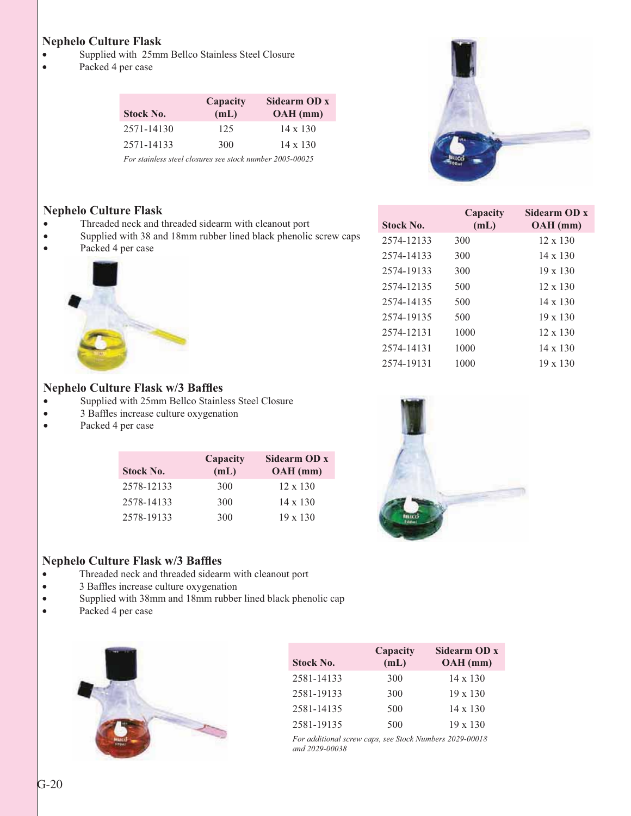#### **Nephelo Culture Flask**

- Supplied with 25mm Bellco Stainless Steel Closure
- Packed 4 per case

|                  | Capacity | Sidearm OD x    |
|------------------|----------|-----------------|
| <b>Stock No.</b> | (mL)     | $OAH$ (mm)      |
| 2571-14130       | 125      | $14 \times 130$ |
| 2571-14133       | 300      | $14 \times 130$ |

*For stainless steel closures see stock number 2005-00025*



**Capacity (mL)**

2574-12133 300 12 x 130 2574-14133 300 14 x 130 2574-19133 300 19 x 130 2574-12135 500 12 x 130 2574-14135 500 14 x 130 2574-19135 500 19 x 130 2574-12131 1000 12 x 130 2574-14131 1000 14 x 130 2574-19131 1000 19 x 130

**Sidearm OD x OAH (mm)**

#### **Nephelo Culture Flask**

- Threaded neck and threaded sidearm with cleanout port
- Supplied with 38 and 18mm rubber lined black phenolic screw caps
- Packed 4 per case



#### **Nephelo Culture Flask w/3 Baffles**

- Supplied with 25mm Bellco Stainless Steel Closure
- 3 Baffles increase culture oxygenation
- Packed 4 per case

| <b>Stock No.</b> | Capacity<br>(mL) | Sidearm OD x<br>$OAH$ (mm) |
|------------------|------------------|----------------------------|
| 2578-12133       | 300              | $12 \times 130$            |
| 2578-14133       | 300              | $14 \times 130$            |
| 2578-19133       | 300              | $19 \times 130$            |



**Stock No.**

#### **Nephelo Culture Flask w/3 Baffles**

- Threaded neck and threaded sidearm with cleanout port
- 3 Baffles increase culture oxygenation
- Supplied with 38mm and 18mm rubber lined black phenolic cap
- Packed 4 per case



|                  | Capacity | Sidearm OD x    |
|------------------|----------|-----------------|
| <b>Stock No.</b> | (mL)     | OAH (mm)        |
| 2581-14133       | 300      | 14 x 130        |
| 2581-19133       | 300      | $19 \times 130$ |
| 2581-14135       | 500      | $14 \times 130$ |
| 2581-19135       | 500      | $19 \times 130$ |

*For additional screw caps, see Stock Numbers 2029-00018 and 2029-00038*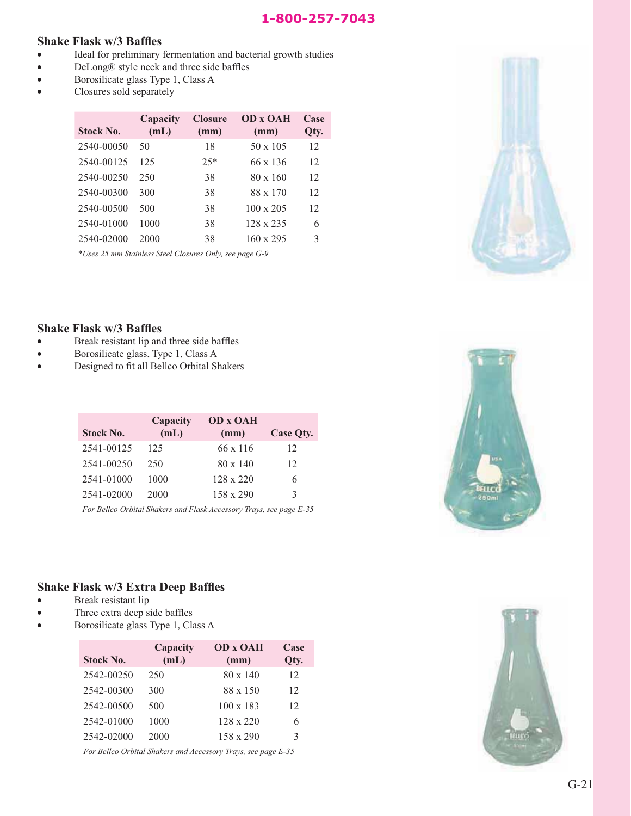#### 1-800-257-7043 **1-800-257-7043**

#### **Shake Flask w/3 Baffles**

- v Ideal for preliminary fermentation and bacterial growth studies
- DeLong® style neck and three side baffles
- Borosilicate glass Type 1, Class A
- Closures sold separately

| <b>Stock No.</b> | Capacity<br>(mL) | <b>Closure</b><br>(mm) | <b>OD x OAH</b><br>(mm) | Case<br>Qty. |
|------------------|------------------|------------------------|-------------------------|--------------|
| 2540-00050       | 50               | 18                     | $50 \times 105$         | 12           |
| 2540-00125       | 125              | $25*$                  | 66 x 136                | 12           |
| 2540-00250       | 250              | 38                     | $80 \times 160$         | 12           |
| 2540-00300       | 300              | 38                     | 88 x 170                | 12           |
| 2540-00500       | 500              | 38                     | $100 \times 205$        | 12           |
| 2540-01000       | 1000             | 38                     | $128 \times 235$        | 6            |
| 2540-02000       | 2000             | 38                     | $160 \times 295$        | 3            |
|                  |                  |                        |                         |              |

\**Uses 25 mm Stainless Steel Closures Only, see page G-9*



#### **Shake Flask w/3 Baffles**

- Break resistant lip and three side baffles
- Borosilicate glass, Type 1, Class A
- v Designed to fit all Bellco Orbital Shakers

|                  | Capacity | <b>OD x OAH</b>  |                  |
|------------------|----------|------------------|------------------|
| <b>Stock No.</b> | (mL)     | (mm)             | <b>Case Qty.</b> |
| 2541-00125       | 125      | 66 x 116         | 12               |
| 2541-00250       | 250      | $80 \times 140$  | 12               |
| 2541-01000       | 1000     | $128 \times 220$ | 6                |
| 2541-02000       | 2000     | $158 \times 290$ | 3                |

*For Bellco Orbital Shakers and Flask Accessory Trays, see page E-35*

#### **Shake Flask w/3 Extra Deep Baffles**

- Break resistant lip
- Three extra deep side baffles
- Borosilicate glass Type 1, Class A

|                  | Capacity | <b>OD x OAH</b>  | Case |
|------------------|----------|------------------|------|
| <b>Stock No.</b> | (mL)     | (mm)             | Qty. |
| 2542-00250       | 250      | $80 \times 140$  | 12   |
| 2542-00300       | 300      | $88 \times 150$  | 12   |
| 2542-00500       | 500      | $100 \times 183$ | 12   |
| 2542-01000       | 1000     | $128 \times 220$ | 6    |
| 2542-02000       | 2000     | $158 \times 290$ | 3    |

*For Bellco Orbital Shakers and Accessory Trays, see page E-35*



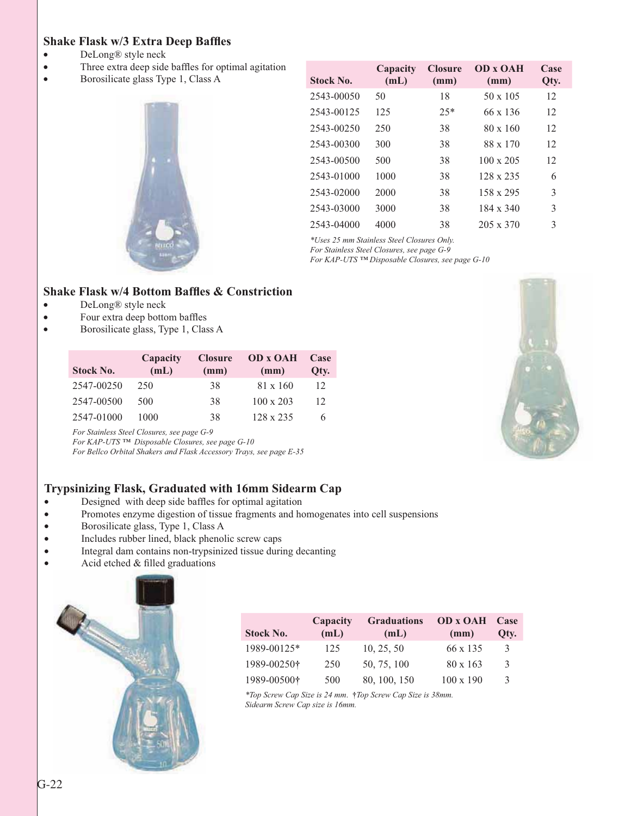#### **Shake Flask w/3 Extra Deep Baffles**

- DeLong<sup>®</sup> style neck
- Three extra deep side baffles for optimal agitation
- **•** Borosilicate glass Type 1, Class A



| <b>Stock No.</b> | Capacity<br>(mL) | <b>Closure</b><br>(mm) | <b>OD x OAH</b><br>(mm) | Case<br>Qty. |
|------------------|------------------|------------------------|-------------------------|--------------|
| 2543-00050       | 50               | 18                     | $50 \times 105$         | 12           |
| 2543-00125       | 125              | $25*$                  | 66 x 136                | 12           |
| 2543-00250       | 250              | 38                     | $80 \times 160$         | 12           |
| 2543-00300       | 300              | 38                     | 88 x 170                | 12           |
| 2543-00500       | 500              | 38                     | $100 \times 205$        | 12           |
| 2543-01000       | 1000             | 38                     | $128 \times 235$        | 6            |
| 2543-02000       | 2000             | 38                     | $158 \times 295$        | 3            |
| 2543-03000       | 3000             | 38                     | $184 \times 340$        | 3            |
| 2543-04000       | 4000             | 38                     | $205 \times 370$        | 3            |

*\*Uses 25 mm Stainless Steel Closures Only.*

*For Stainless Steel Closures, see page G-9*

*For KAP-UTS ™ Disposable Closures, see page G-10*

#### **Shake Flask w/4 Bottom Baffles & Constriction**

- DeLong<sup>®</sup> style neck
- Four extra deep bottom baffles
- Borosilicate glass, Type 1, Class A

| <b>Stock No.</b> | Capacity<br>(mL) | <b>Closure</b><br>(mm) | <b>OD</b> x <b>OAH</b><br>(mm) | Case<br>Otv. |
|------------------|------------------|------------------------|--------------------------------|--------------|
| 2547-00250       | 250              | 38                     | $81 \times 160$                | 12           |
| 2547-00500       | 500              | 38                     | $100 \times 203$               | 12           |
| 2547-01000       | 1000             | 38                     | 128 x 235                      | 6            |

*For Stainless Steel Closures, see page G-9*

*For KAP-UTS ™ Disposable Closures, see page G-10*

*For Bellco Orbital Shakers and Flask Accessory Trays, see page E-35*

#### **Trypsinizing Flask, Graduated with 16mm Sidearm Cap**

- Designed with deep side baffles for optimal agitation
- v Promotes enzyme digestion of tissue fragments and homogenates into cell suspensions
- Borosilicate glass, Type 1, Class A
- Includes rubber lined, black phenolic screw caps
- v Integral dam contains non-trypsinized tissue during decanting
- Acid etched  $&$  filled graduations



| <b>Stock No.</b> | Capacity<br>(mL) | <b>Graduations</b><br>(mL) | <b>OD x OAH</b><br>(mm) | Case<br>Otv. |
|------------------|------------------|----------------------------|-------------------------|--------------|
| 1989-00125*      | 125              | 10, 25, 50                 | 66 x 135                | 3            |
| 1989-00250†      | 250              | 50, 75, 100                | 80 x 163                | 3            |
| 1989-00500†      | 500              | 80, 100, 150               | $100 \times 190$        | 3            |

*\*Top Screw Cap Size is 24 mm*. **†***Top Screw Cap Size is 38mm. Sidearm Screw Cap size is 16mm.*

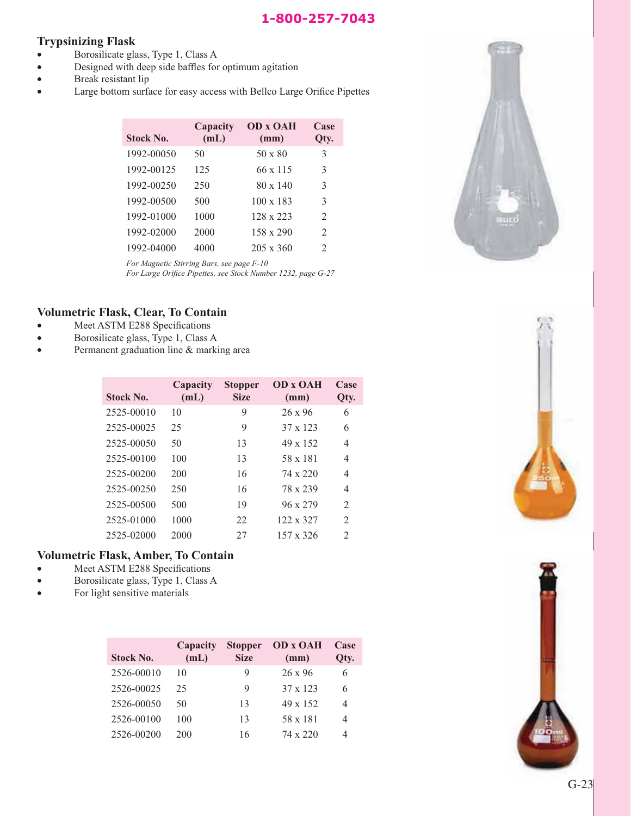#### **Trypsinizing Flask**

- Borosilicate glass, Type 1, Class A
- **•** Designed with deep side baffles for optimum agitation
- Break resistant lip
- v Large bottom surface for easy access with Bellco Large Orifice Pipettes

| <b>Stock No.</b> | Capacity<br>(mL) | <b>OD x OAH</b><br>(mm) | Case<br>Qty.   |
|------------------|------------------|-------------------------|----------------|
| 1992-00050       | 50               | $50 \times 80$          | 3              |
| 1992-00125       | 125              | 66 x 115                | 3              |
| 1992-00250       | 250              | $80 \times 140$         | 3              |
| 1992-00500       | 500              | $100 \times 183$        | 3              |
| 1992-01000       | 1000             | $128 \times 223$        | $\mathfrak{D}$ |
| 1992-02000       | 2000             | $158 \times 290$        | 2              |
| 1992-04000       | 4000             | $205 \times 360$        | 2              |

*For Magnetic Stirring Bars, see page F-10*

*For Large Orifice Pipettes, see Stock Number 1232, page G-27*

#### **Volumetric Flask, Clear, To Contain**

- Meet ASTM E288 Specifications
- Borosilicate glass, Type 1, Class A
- Permanent graduation line & marking area

| <b>Stock No.</b> | Capacity<br>(mL) | <b>Stopper</b><br><b>Size</b> | <b>OD x OAH</b><br>(mm) | Case<br>Qty.                  |
|------------------|------------------|-------------------------------|-------------------------|-------------------------------|
| 2525-00010       | 10               | 9                             | $26 \times 96$          | 6                             |
| 2525-00025       | 25               | 9                             | 37 x 123                | 6                             |
| 2525-00050       | 50               | 13                            | $49 \times 152$         | 4                             |
| 2525-00100       | 100              | 13                            | 58 x 181                | 4                             |
| 2525-00200       | 200              | 16                            | 74 x 220                | 4                             |
| 2525-00250       | 250              | 16                            | 78 x 239                | 4                             |
| 2525-00500       | 500              | 19                            | $96 \times 279$         | 2                             |
| 2525-01000       | 1000             | 22                            | 122 x 327               | 2                             |
| 2525-02000       | 2000             | 27                            | 157 x 326               | $\mathfrak{D}_{\mathfrak{p}}$ |

#### **Volumetric Flask, Amber, To Contain**

- Meet ASTM E288 Specifications
- v Borosilicate glass, Type 1, Class A
- For light sensitive materials

| <b>Stock No.</b> | Capacity<br>(mL) | <b>Stopper</b><br><b>Size</b> | <b>OD x OAH</b><br>(mm) | Case<br>Qty.   |
|------------------|------------------|-------------------------------|-------------------------|----------------|
| 2526-00010       | 10               | 9                             | $26 \times 96$          |                |
| 2526-00025       | 25               | 9                             | $37 \times 123$         | 6              |
| 2526-00050       | 50               | 13                            | $49 \times 152$         | 4              |
| 2526-00100       | 100              | 13                            | 58 x 181                | $\overline{4}$ |
| 2526-00200       | 200              | 16                            | 74 x 220                |                |





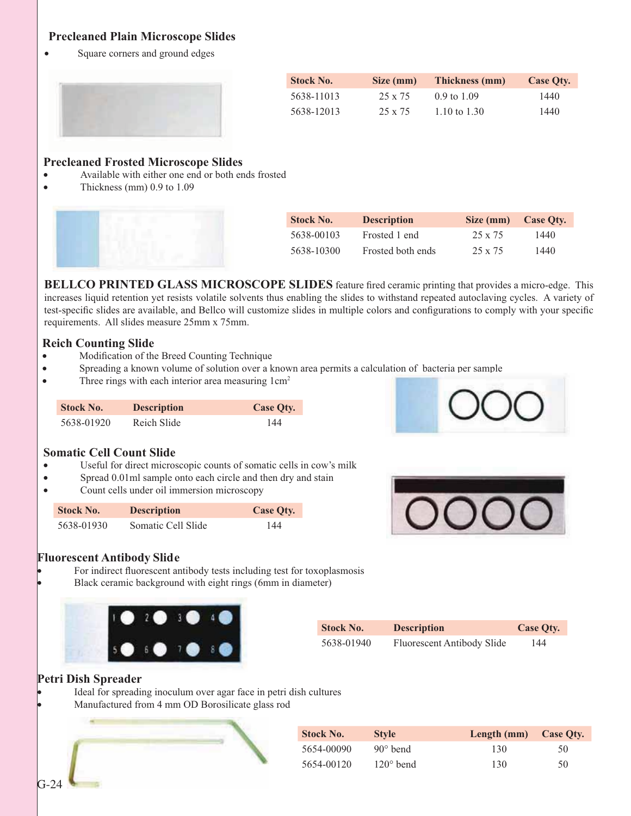#### **Precleaned Plain Microscope Slides**

• Square corners and ground edges



| <b>Stock No.</b> | Size (mm)      | Thickness (mm)         | <b>Case Oty.</b> |
|------------------|----------------|------------------------|------------------|
| 5638-11013       | $25 \times 75$ | $0.9 \text{ to } 1.09$ | 1440             |
| 5638-12013       | 25 x 75        | 1.10 to 1.30           | 1440             |

#### **Precleaned Frosted Microscope Slides**

- Available with either one end or both ends frosted
- Thickness (mm)  $0.9$  to  $1.09$



| <b>Stock No.</b> | <b>Description</b> | Size (mm) | Case Oty. |
|------------------|--------------------|-----------|-----------|
| 5638-00103       | Frosted 1 end      | 25 x 75   | 1440      |
| 5638-10300       | Frosted both ends  | 25 x 75   | 1440      |

**BELLCO PRINTED GLASS MICROSCOPE SLIDES** feature fired ceramic printing that provides a micro-edge. This increases liquid retention yet resists volatile solvents thus enabling the slides to withstand repeated autoclaving cycles. A variety of test-specific slides are available, and Bellco will customize slides in multiple colors and configurations to comply with your specific requirements. All slides measure 25mm x 75mm.

#### **Reich Counting Slide**

- Modification of the Breed Counting Technique
- Spreading a known volume of solution over a known area permits a calculation of bacteria per sample
- Three rings with each interior area measuring  $1 \text{ cm}^2$

| <b>Stock No.</b> | <b>Description</b> | <b>Case Qty.</b> |
|------------------|--------------------|------------------|
| 5638-01920       | Reich Slide        | 144              |

#### **Somatic Cell Count Slide**

- Useful for direct microscopic counts of somatic cells in cow's milk
- Spread 0.01ml sample onto each circle and then dry and stain
- Count cells under oil immersion microscopy

| <b>Stock No.</b> | <b>Description</b> | Case Oty. |
|------------------|--------------------|-----------|
| 5638-01930       | Somatic Cell Slide | 144       |





#### **Fluorescent Antibody Slide**

For indirect fluorescent antibody tests including test for toxoplasmosis Black ceramic background with eight rings (6mm in diameter)



| <b>Stock No.</b> | <b>Description</b>         | Case Oty. |
|------------------|----------------------------|-----------|
| 5638-01940       | Fluorescent Antibody Slide | 144       |

#### **Petri Dish Spreader**

Ideal for spreading inoculum over agar face in petri dish cultures

Manufactured from 4 mm OD Borosilicate glass rod

| <b>Stock No.</b> | <b>Style</b>       | Length (mm) Case Qty. |    |
|------------------|--------------------|-----------------------|----|
| 5654-00090       | $90^{\circ}$ bend  | 130                   | 50 |
| 5654-00120       | $120^{\circ}$ bend | .30                   | 50 |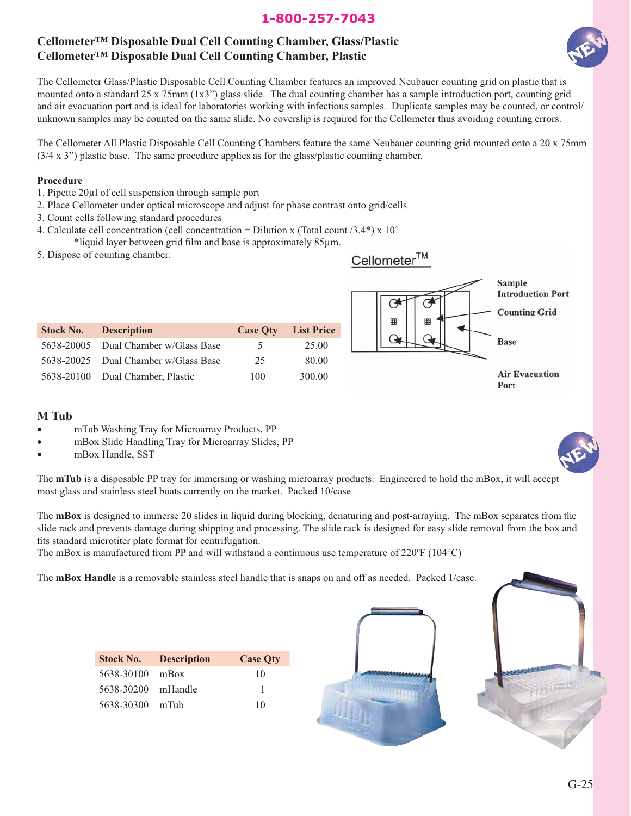#### **Cellometer™ Disposable Dual Cell Counting Chamber, Glass/Plastic Cellometer™ Disposable Dual Cell Counting Chamber, Plastic**



The Cellometer Glass/Plastic Disposable Cell Counting Chamber features an improved Neubauer counting grid on plastic that is mounted onto a standard 25 x 75mm (1x3") glass slide. The dual counting chamber has a sample introduction port, counting grid and air evacuation port and is ideal for laboratories working with infectious samples. Duplicate samples may be counted, or control/ unknown samples may be counted on the same slide. No coverslip is required for the Cellometer thus avoiding counting errors.

The Cellometer All Plastic Disposable Cell Counting Chambers feature the same Neubauer counting grid mounted onto a 20 x 75mm (3/4 x 3") plastic base. The same procedure applies as for the glass/plastic counting chamber.

#### **Procedure**

- 1. Pipette 20μl of cell suspension through sample port
- 2. Place Cellometer under optical microscope and adjust for phase contrast onto grid/cells
- 3. Count cells following standard procedures
- 4. Calculate cell concentration (cell concentration = Dilution x (Total count  $/3.4^*$ ) x  $10^4$ 
	- \*liquid layer between grid film and base is approximately 85μm.
- 5. Dispose of counting chamber.

|                  | 5. Dispose of counting chamber. |                 |                   | Cellometer <sup>™</sup> |                                                            |
|------------------|---------------------------------|-----------------|-------------------|-------------------------|------------------------------------------------------------|
|                  |                                 |                 |                   | 囲<br>▦                  | Sample<br><b>Introduction Port</b><br><b>Counting Grid</b> |
| <b>Stock No.</b> | <b>Description</b>              | <b>Case Qty</b> | <b>List Price</b> |                         |                                                            |
| 5638-20005       | Dual Chamber w/Glass Base       | 5               | 25.00             |                         | <b>Base</b>                                                |
| 5638-20025       | Dual Chamber w/Glass Base       | 25              | 80.00             |                         |                                                            |
| 5638-20100       | Dual Chamber, Plastic           | 100             | 300.00            |                         | <b>Air Evacuation</b><br>$D_{\alpha+1}$                    |

#### **M Tub**

- mTub Washing Tray for Microarray Products, PP
- mBox Slide Handling Tray for Microarray Slides, PP
- mBox Handle, SST

The **mTub** is a disposable PP tray for immersing or washing microarray products. Engineered to hold the mBox, it will accept most glass and stainless steel boats currently on the market. Packed 10/case.

The **mBox** is designed to immerse 20 slides in liquid during blocking, denaturing and post-arraying. The mBox separates from the slide rack and prevents damage during shipping and processing. The slide rack is designed for easy slide removal from the box and fits standard microtiter plate format for centrifugation.

The mBox is manufactured from PP and will withstand a continuous use temperature of 220°F (104°C)

The **mBox Handle** is a removable stainless steel handle that is snaps on and off as needed. Packed 1/case.

|                    | <b>Stock No. Description</b> | <b>Case Oty</b> |
|--------------------|------------------------------|-----------------|
| 5638-30100 mBox    |                              | 10              |
| 5638-30200 mHandle |                              |                 |
| 5638-30300 mTub    |                              | 10              |



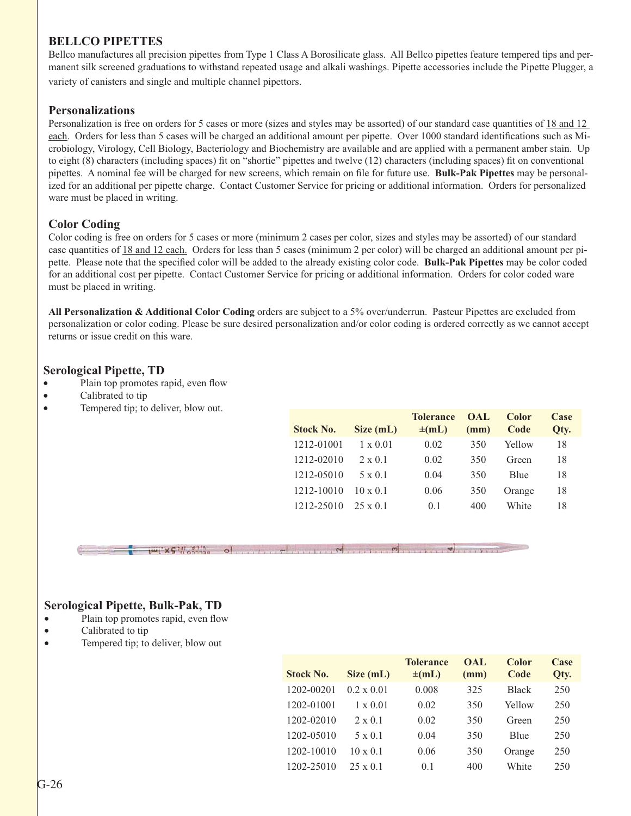#### **BELLCO PIPETTES**

Bellco manufactures all precision pipettes from Type 1 Class A Borosilicate glass. All Bellco pipettes feature tempered tips and permanent silk screened graduations to withstand repeated usage and alkali washings. Pipette accessories include the Pipette Plugger, a variety of canisters and single and multiple channel pipettors.

#### **Personalizations**

Personalization is free on orders for 5 cases or more (sizes and styles may be assorted) of our standard case quantities of 18 and 12 each. Orders for less than 5 cases will be charged an additional amount per pipette. Over 1000 standard identifications such as Microbiology, Virology, Cell Biology, Bacteriology and Biochemistry are available and are applied with a permanent amber stain. Up to eight (8) characters (including spaces) fit on "shortie" pipettes and twelve (12) characters (including spaces) fit on conventional pipettes. A nominal fee will be charged for new screens, which remain on file for future use. **Bulk-Pak Pipettes** may be personalized for an additional per pipette charge. Contact Customer Service for pricing or additional information. Orders for personalized ware must be placed in writing.

#### **Color Coding**

Color coding is free on orders for 5 cases or more (minimum 2 cases per color, sizes and styles may be assorted) of our standard case quantities of 18 and 12 each. Orders for less than 5 cases (minimum 2 per color) will be charged an additional amount per pipette. Please note that the specified color will be added to the already existing color code. **Bulk-Pak Pipettes** may be color coded for an additional cost per pipette. Contact Customer Service for pricing or additional information. Orders for color coded ware must be placed in writing.

**All Personalization & Additional Color Coding** orders are subject to a 5% over/underrun. Pasteur Pipettes are excluded from personalization or color coding. Please be sure desired personalization and/or color coding is ordered correctly as we cannot accept returns or issue credit on this ware.

#### **Serological Pipette, TD**

- Plain top promotes rapid, even flow
- Calibrated to tip
- Tempered tip; to deliver, blow out.

| <b>Stock No.</b> | Size (mL)       | <b>Tolerance</b><br>$\pm$ (mL) | OAL<br>(mm) | Color<br>Code | Case<br>Qty. |
|------------------|-----------------|--------------------------------|-------------|---------------|--------------|
| 1212-01001       | $1 \times 0.01$ | 0.02                           | 350         | Yellow        | 18           |
| 1212-02010       | $2 \times 0.1$  | 0.02                           | 350         | Green         | 18           |
| 1212-05010       | $5 \times 0.1$  | 0.04                           | 350         | <b>B</b> lue  | 18           |
| 1212-10010       | $10 \times 0.1$ | 0.06                           | 350         | Orange        | 18           |
| 1212-25010       | $25 \times 01$  | 0.1                            | 400         | White         | 18           |

 $\frac{1}{2}$  =  $\frac{1}{2}$  =  $\frac{1}{2}$  =  $\frac{1}{2}$  =  $\frac{1}{2}$  =  $\frac{1}{2}$  =  $\frac{1}{2}$  =  $\frac{1}{2}$  =  $\frac{1}{2}$  =  $\frac{1}{2}$  =  $\frac{1}{2}$  =  $\frac{1}{2}$  =  $\frac{1}{2}$  =  $\frac{1}{2}$  =  $\frac{1}{2}$  =  $\frac{1}{2}$  =  $\frac{1}{2}$  =  $\frac{1}{2}$  =  $\frac{1$ 

#### **Serological Pipette, Bulk-Pak, TD**

- Plain top promotes rapid, even flow
- Calibrated to tip
- Tempered tip; to deliver, blow out

| <b>Stock No.</b> | Size (mL)         | <b>Tolerance</b><br>$\pm$ (mL) | OAL<br>(mm) | Color<br>Code | Case<br>Qty. |
|------------------|-------------------|--------------------------------|-------------|---------------|--------------|
| 1202-00201       | $0.2 \times 0.01$ | 0.008                          | 325         | <b>Black</b>  | 250          |
| 1202-01001       | $1 \times 0.01$   | 0.02                           | 350         | Yellow        | 250          |
| 1202-02010       | $2 \times 0.1$    | 0.02                           | 350         | Green         | 250          |
| 1202-05010       | $5 \times 0.1$    | 0.04                           | 350         | Blue          | 250          |
| 1202-10010       | $10 \times 0.1$   | 0.06                           | 350         | Orange        | 250          |
| 1202-25010       | $25 \times 0.1$   | 0.1                            | 400         | White         | 250          |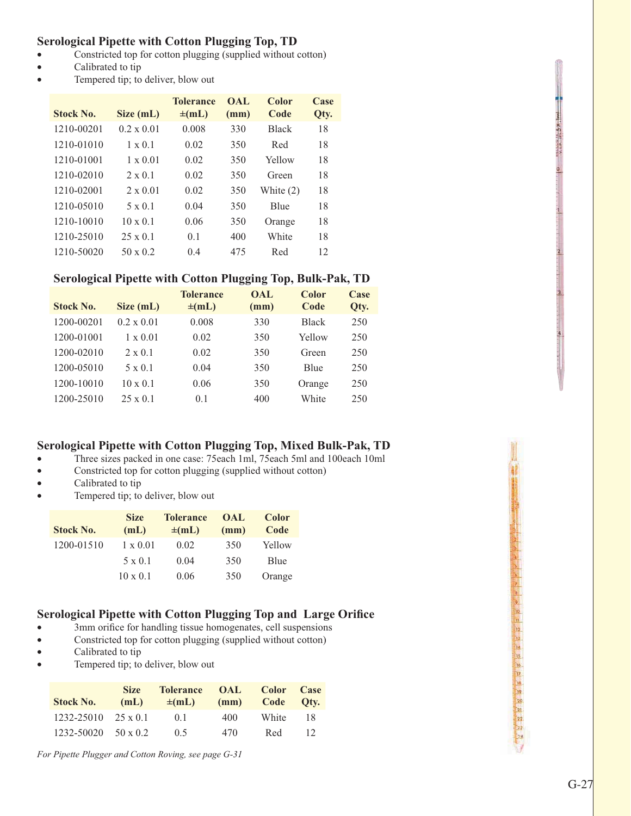#### **Serological Pipette with Cotton Plugging Top, TD**

- Constricted top for cotton plugging (supplied without cotton)
- Calibrated to tip
- Tempered tip; to deliver, blow out

| <b>Stock No.</b> | Size (mL)         | <b>Tolerance</b><br>$\pm$ (mL) | OAL<br>(mm) | Color<br>Code | Case<br>Qty. |
|------------------|-------------------|--------------------------------|-------------|---------------|--------------|
| 1210-00201       | $0.2 \times 0.01$ | 0.008                          | 330         | <b>Black</b>  | 18           |
| 1210-01010       | $1 \times 0.1$    | 0.02                           | 350         | Red           | 18           |
| 1210-01001       | $1 \times 0.01$   | 0.02                           | 350         | Yellow        | 18           |
| 1210-02010       | $2 \times 0.1$    | 0.02                           | 350         | Green         | 18           |
| 1210-02001       | $2 \times 0.01$   | 0.02                           | 350         | White $(2)$   | 18           |
| 1210-05010       | $5 \times 0.1$    | 0.04                           | 350         | Blue          | 18           |
| 1210-10010       | $10 \times 0.1$   | 0.06                           | 350         | Orange        | 18           |
| 1210-25010       | $25 \times 0.1$   | 0.1                            | 400         | White         | 18           |
| 1210-50020       | $50 \times 0.2$   | 0.4                            | 475         | Red           | 12           |

#### **Serological Pipette with Cotton Plugging Top, Bulk-Pak, TD**

| <b>Stock No.</b> | Size (mL)         | <b>Tolerance</b><br>$\pm$ (mL) | <b>OAL</b><br>(mm) | Color<br>Code | Case<br>Qty. |
|------------------|-------------------|--------------------------------|--------------------|---------------|--------------|
| 1200-00201       | $0.2 \times 0.01$ | 0.008                          | 330                | <b>Black</b>  | 250          |
| 1200-01001       | $1 \times 0.01$   | 0.02                           | 350                | Yellow        | 250          |
| 1200-02010       | $2 \times 0.1$    | 0.02                           | 350                | Green         | 250          |
| 1200-05010       | $5 \times 0.1$    | 0.04                           | 350                | Blue          | 250          |
| 1200-10010       | $10 \times 0.1$   | 0.06                           | 350                | Orange        | 250          |
| 1200-25010       | $25 \times 0.1$   | 0.1                            | 400                | White         | 250          |

#### **Serological Pipette with Cotton Plugging Top, Mixed Bulk-Pak, TD**

- v Three sizes packed in one case: 75each 1ml, 75each 5ml and 100each 10ml
- Constricted top for cotton plugging (supplied without cotton)
- Calibrated to tip
- Tempered tip; to deliver, blow out

| <b>Stock No.</b> | <b>Size</b><br>(mL) | <b>Tolerance</b><br>$\pm$ (mL) | <b>OAL</b><br>(mm) | <b>Color</b><br>Code |
|------------------|---------------------|--------------------------------|--------------------|----------------------|
| 1200-01510       | $1 \times 0.01$     | 0.02                           | 350                | Yellow               |
|                  | $5 \times 0.1$      | 0.04                           | 350                | Blue                 |
|                  | $10 \times 0.1$     | 0.06                           | 350                | Orange               |

#### **Serological Pipette with Cotton Plugging Top and Large Orifice**

- 3mm orifice for handling tissue homogenates, cell suspensions
- Constricted top for cotton plugging (supplied without cotton)
- Calibrated to tip
- Tempered tip; to deliver, blow out

| <b>Stock No.</b>               | <b>Size</b><br>(mL) | Tolerance OAL<br>$\pm$ (mL) |     | Color Case<br>(mm) Code Oty. |     |
|--------------------------------|---------------------|-----------------------------|-----|------------------------------|-----|
| $1232 - 25010$ $25 \times 0.1$ |                     | (1)                         | 400 | White                        | -18 |
| $1232 - 50020$ 50 x 0.2        |                     | (15                         | 470 | Red                          | -12 |

*For Pipette Plugger and Cotton Roving, see page G-31*

**OCCIDENTS OF A REAL PROPERTY AND REAL PROPERTY**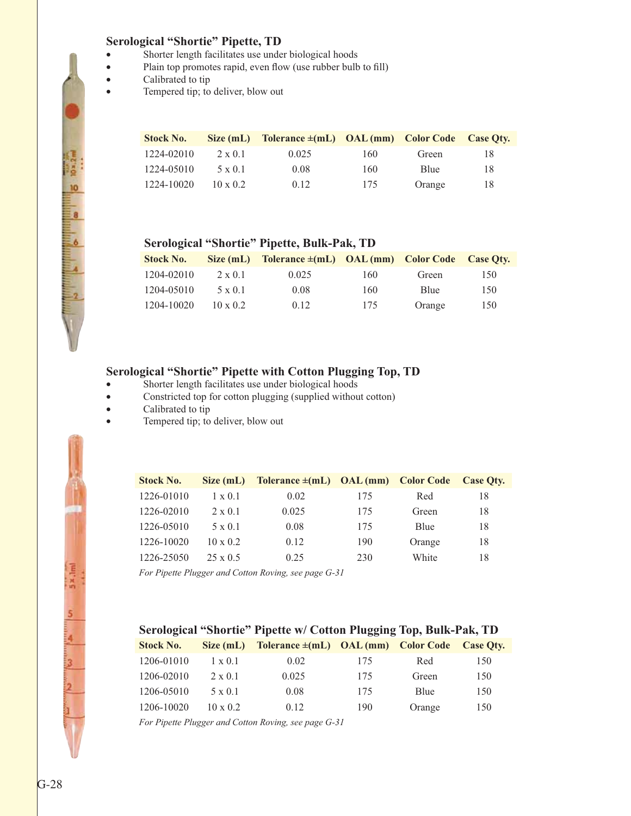#### **Serological "Shortie" Pipette, TD**

- Shorter length facilitates use under biological hoods
- Plain top promotes rapid, even flow (use rubber bulb to fill)
- Calibrated to tip

**BESTON BOOK** 

i.

• Tempered tip; to deliver, blow out

| <b>Stock No.</b> | Size(mL)        | Tolerance $\pm$ (mL) OAL (mm) Color Code Case Oty. |     |        |    |
|------------------|-----------------|----------------------------------------------------|-----|--------|----|
| 1224-02010       | $2 \times 0.1$  | 0.025                                              | 160 | Green  | 18 |
| 1224-05010       | $5 \times 0.1$  | 0.08                                               | 160 | Blue   | 18 |
| 1224-10020       | $10 \times 0.2$ | 0.12                                               | 175 | Orange | 18 |

#### **Serological "Shortie" Pipette, Bulk-Pak, TD**

| <b>Stock No.</b> | Size (mL)       | Tolerance $\pm$ (mL) OAL (mm) Color Code |     |        | Case Otv. |
|------------------|-----------------|------------------------------------------|-----|--------|-----------|
| 1204-02010       | $2 \times 0.1$  | 0.025                                    | 160 | Green  | 150       |
| 1204-05010       | $5 \times 0.1$  | 0.08                                     | 160 | Blue   | 150       |
| 1204-10020       | $10 \times 0.2$ | 0.12                                     | 175 | Orange | 150       |

#### **Serological "Shortie" Pipette with Cotton Plugging Top, TD**

- Shorter length facilitates use under biological hoods
- Constricted top for cotton plugging (supplied without cotton)
- Calibrated to tip
- Tempered tip; to deliver, blow out

| <b>Stock No.</b> | Size (mL)       | Tolerance $\pm$ (mL) OAL (mm) Color Code |     |        | <b>Case Oty.</b> |
|------------------|-----------------|------------------------------------------|-----|--------|------------------|
| 1226-01010       | $1 \times 0.1$  | 0.02                                     | 175 | Red    | 18               |
| 1226-02010       | $2 \times 0.1$  | 0.025                                    | 175 | Green  | 18               |
| 1226-05010       | $5 \times 0.1$  | 0.08                                     | 175 | Blue   | 18               |
| 1226-10020       | $10 \times 0.2$ | 0.12                                     | 190 | Orange | 18               |
| 1226-25050       | $25 \times 0.5$ | 0.25                                     | 230 | White  | 18               |

*For Pipette Plugger and Cotton Roving, see page G-31*

| <b>Stock No.</b> | Size(mL)        | Tolerance $\pm$ (mL) OAL (mm) Color Code Case Oty. |     |        |     |
|------------------|-----------------|----------------------------------------------------|-----|--------|-----|
| 1206-01010       | $1 \times 0.1$  | 0.02                                               | 175 | Red    | 150 |
| 1206-02010       | $2 \times 0.1$  | 0.025                                              | 175 | Green  | 150 |
| 1206-05010       | 5 x 0.1         | 0.08                                               | 175 | Blue   | 150 |
| 1206-10020       | $10 \times 0.2$ | 0.12                                               | 190 | Orange | 150 |

*For Pipette Plugger and Cotton Roving, see page G-31*

 $5 \times \text{Im}$ 

5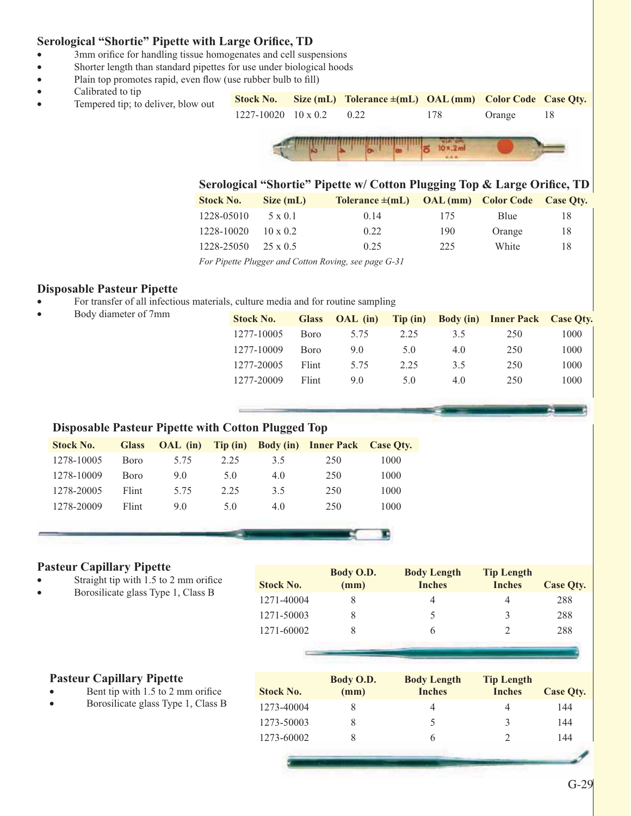#### **Serological "Shortie" Pipette with Large Orifice, TD**

- 3mm orifice for handling tissue homogenates and cell suspensions
- Shorter length than standard pipettes for use under biological hoods
- Plain top promotes rapid, even flow (use rubber bulb to fill)
- Calibrated to tip
- **Stock No. Size (mL) Tolerance ±(mL) OAL (mm) Color Code Case Qty.** • Tempered tip; to deliver, blow out 1227-10020 10 x 0.2 0.22 178 Orange 18  $10 \times .2$ ml

|                                                                  |                 | Serological "Shortie" Pipette w/ Cotton Plugging Top & Large Orifice, TD |     |        |           |
|------------------------------------------------------------------|-----------------|--------------------------------------------------------------------------|-----|--------|-----------|
| <b>Stock No.</b>                                                 | Size (mL)       | Tolerance $\pm$ (mL) OAL (mm) Color Code                                 |     |        | Case Oty. |
| 1228-05010                                                       | $5 \times 0.1$  | 0.14                                                                     | 175 | Blue   | 18        |
| 1228-10020                                                       | $10 \times 0.2$ | 0.22                                                                     | 190 | Orange | 18        |
| 1228-25050                                                       | $25 \times 0.5$ | 0.25                                                                     | 225 | White  | 18        |
| $\mathbf{r}$ $\mathbf{r}$ $\mathbf{r}$ $\mathbf{r}$ $\mathbf{r}$ |                 | $1 \cap \ldots \cap$                                                     |     |        |           |

*For Pipette Plugger and Cotton Roving, see page G-31*

#### **Disposable Pasteur Pipette**

- For transfer of all infectious materials, culture media and for routine sampling
- Body diameter of 7mm

| <b>Stock No.</b> | <b>Glass</b> | OAL (in) |      |     | Tip (in) Body (in) Inner Pack Case Qty. |      |
|------------------|--------------|----------|------|-----|-----------------------------------------|------|
| 1277-10005       | <b>B</b> oro | 5.75     | 2.25 | 3.5 | 250                                     | 1000 |
| 1277-10009       | <b>B</b> oro | 9.0      | 5.0  | 4.0 | 250                                     | 1000 |
| 1277-20005       | Flint        | 5.75     | 2.25 | 3.5 | 250                                     | 1000 |
| 1277-20009       | Flint        | 9.0      | 5.0  | 4.0 | 250                                     | 1000 |
|                  |              |          |      |     |                                         |      |

#### **Disposable Pasteur Pipette with Cotton Plugged Top**

| <b>Stock No.</b> | <b>Glass</b> | $OAL$ (in) |      |     | Tip (in) Body (in) Inner Pack Case Qty. |      |
|------------------|--------------|------------|------|-----|-----------------------------------------|------|
| 1278-10005       | <b>Boro</b>  | 5.75       | 2.25 | 3.5 | 250                                     | 1000 |
| 1278-10009       | <b>B</b> oro | 9.0        | 5.0  | 4.0 | 250                                     | 1000 |
| 1278-20005       | Flint        | 5.75       | 2.25 | 3.5 | 250                                     | 1000 |
| 1278-20009       | Flint        | 9.0        | 5.0  | 4.0 | 250                                     | 1000 |
|                  |              |            |      |     |                                         |      |

#### **Pasteur Capillary Pipette**

- Straight tip with 1.5 to 2 mm orifice
- Borosilicate glass Type 1, Class B

|                  | Body O.D. | <b>Body Length</b> | <b>Tip Length</b> |           |
|------------------|-----------|--------------------|-------------------|-----------|
| <b>Stock No.</b> | (mm)      | <b>Inches</b>      | <b>Inches</b>     | Case Oty. |
| 1271-40004       |           |                    | 4                 | 288       |
| 1271-50003       |           |                    | 3                 | 288       |
| 1271-60002       |           |                    |                   | 288       |

#### **Pasteur Capillary Pipette**

- Bent tip with 1.5 to 2 mm orifice
- Borosilicate glass Type 1, Class B

| <b>Stock No.</b> | Body O.D.<br>(mm) | <b>Body Length</b><br><b>Inches</b> | <b>Tip Length</b><br><b>Inches</b> | Case Oty. |
|------------------|-------------------|-------------------------------------|------------------------------------|-----------|
| 1273-40004       |                   |                                     | 4                                  | 144       |
| 1273-50003       |                   |                                     | 3                                  | 144       |
| 1273-60002       |                   | h                                   |                                    | 144       |
|                  |                   |                                     |                                    |           |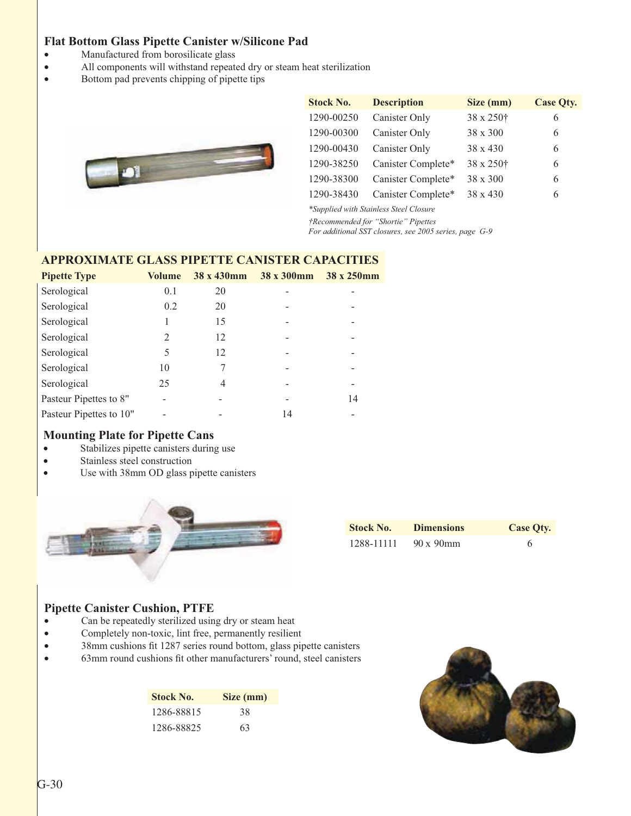#### **Flat Bottom Glass Pipette Canister w/Silicone Pad**

- Manufactured from borosilicate glass
- v All components will withstand repeated dry or steam heat sterilization
- v Bottom pad prevents chipping of pipette tips



| <b>Stock No.</b> | <b>Description</b> | Size (mm)             | <b>Case Qty.</b> |
|------------------|--------------------|-----------------------|------------------|
| 1290-00250       | Canister Only      | 38 x 250 <sup>+</sup> | 6                |
| 1290-00300       | Canister Only      | $38 \times 300$       | 6                |
| 1290-00430       | Canister Only      | $38 \times 430$       | 6                |
| 1290-38250       | Canister Complete* | 38 x 250 <sup>†</sup> | 6                |
| 1290-38300       | Canister Complete* | $38 \times 300$       | 6                |
| 1290-38430       | Canister Complete* | $38 \times 430$       | 6                |

*\*Supplied with Stainless Steel Closure †Recommended for "Shortie" Pipettes*

*For additional SST closures, see 2005 series, page G-9*

#### **APPROXIMATE GLASS PIPETTE CANISTER CAPACITIES**

| <b>Pipette Type</b>     | <b>Volume</b> | 38 x 430mm | 38 x 300mm | 38 x 250mm |
|-------------------------|---------------|------------|------------|------------|
| Serological             | 0.1           | 20         |            |            |
| Serological             | 0.2           | 20         |            |            |
| Serological             | 1             | 15         |            |            |
| Serological             | 2             | 12         |            |            |
| Serological             | 5             | 12         |            |            |
| Serological             | 10            | 7          |            |            |
| Serological             | 25            | 4          |            |            |
| Pasteur Pipettes to 8"  |               |            |            | 14         |
| Pasteur Pipettes to 10" |               |            | 14         |            |

#### **Mounting Plate for Pipette Cans**

- Stabilizes pipette canisters during use
- Stainless steel construction
- Use with 38mm OD glass pipette canisters



| <b>Stock No.</b> | <b>Dimensions</b> | <b>Case Qty.</b> |
|------------------|-------------------|------------------|
| 1288-11111       | $90 \times 90$ mm | 6                |

#### **Pipette Canister Cushion, PTFE**

- Can be repeatedly sterilized using dry or steam heat
- Completely non-toxic, lint free, permanently resilient
- 38mm cushions fit 1287 series round bottom, glass pipette canisters
- v 63mm round cushions fit other manufacturers' round, steel canisters

| <b>Stock No.</b> | Size (mm) |
|------------------|-----------|
| 1286-88815       | 38        |
| 1286-88825       | 63        |

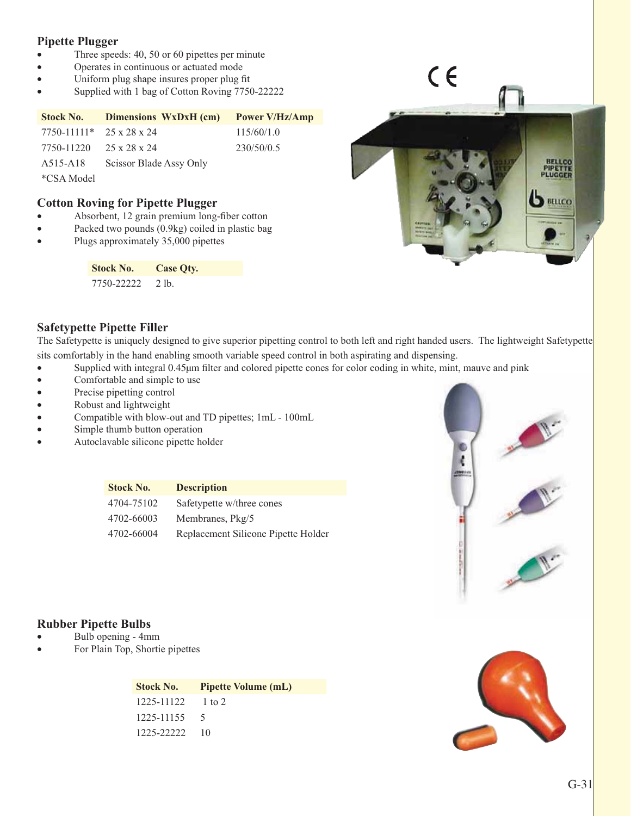#### **Pipette Plugger**

- Three speeds:  $40, 50$  or  $60$  pipettes per minute
- Operates in continuous or actuated mode
- Uniform plug shape insures proper plug fit
- Supplied with 1 bag of Cotton Roving 7750-22222

| <b>Stock No.</b>                                        | Dimensions WxDxH (cm)   | <b>Power V/Hz/Amp</b> |
|---------------------------------------------------------|-------------------------|-----------------------|
| $7750 - 11111*$ 25 x 28 x 24                            |                         | 115/60/1.0            |
| 7750-11220                                              | 25 x 28 x 24            | 230/50/0.5            |
| A515-A18                                                | Scissor Blade Assy Only |                       |
| $\sim$ $\sim$ $\sim$ $\sim$ $\sim$ $\sim$ $\sim$ $\sim$ |                         |                       |

\*CSA Model

#### **Cotton Roving for Pipette Plugger**

- v Absorbent, 12 grain premium long-fiber cotton
- Packed two pounds (0.9kg) coiled in plastic bag
- Plugs approximately 35,000 pipettes

| Stock No.  | Case Oty. |
|------------|-----------|
| 7750-22222 | - 2 lb.   |



 $C \in$ 

#### **Safetypette Pipette Filler**

The Safetypette is uniquely designed to give superior pipetting control to both left and right handed users. The lightweight Safetypette sits comfortably in the hand enabling smooth variable speed control in both aspirating and dispensing.

- Supplied with integral 0.45µm filter and colored pipette cones for color coding in white, mint, mauve and pink
- Comfortable and simple to use
- Precise pipetting control
- Robust and lightweight
- Compatible with blow-out and TD pipettes; 1mL 100mL
- Simple thumb button operation
- Autoclavable silicone pipette holder

| <b>Stock No.</b> | <b>Description</b>                  |
|------------------|-------------------------------------|
| 4704-75102       | Safetypette w/three cones           |
| 4702-66003       | Membranes, Pkg/5                    |
| 4702-66004       | Replacement Silicone Pipette Holder |



#### **Rubber Pipette Bulbs**

- Bulb opening 4mm
- For Plain Top, Shortie pipettes

| <b>Stock No.</b>        | <b>Pipette Volume (mL)</b> |
|-------------------------|----------------------------|
| $1225 - 11122 = 1$ to 2 |                            |
| 1225-11155              | $\sim$                     |
| 1225-22222              | -10                        |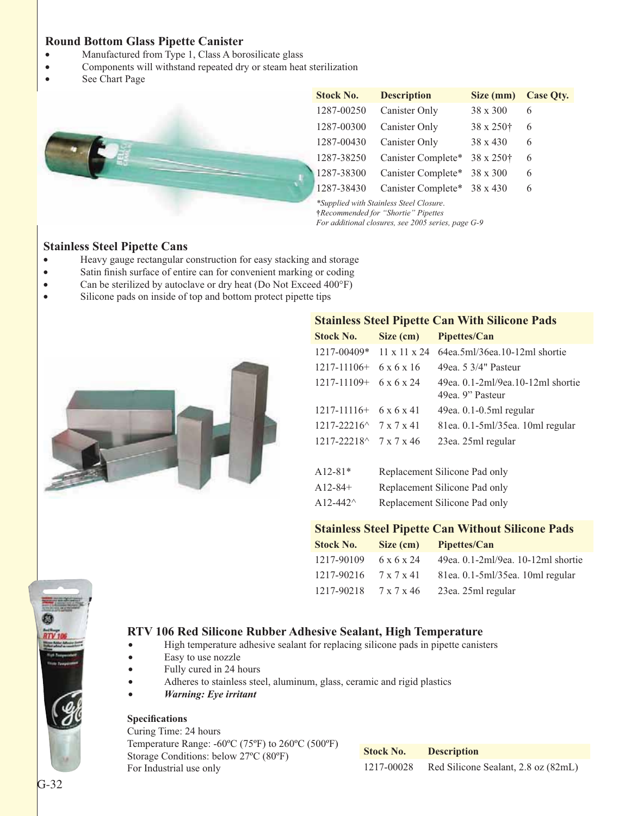#### **Round Bottom Glass Pipette Canister**

- Manufactured from Type 1, Class A borosilicate glass
- Components will withstand repeated dry or steam heat sterilization
- See Chart Page



*For additional closures, see 2005 series, page G-9*

#### **Stainless Steel Pipette Cans**

- Heavy gauge rectangular construction for easy stacking and storage
- Satin finish surface of entire can for convenient marking or coding
- Can be sterilized by autoclave or dry heat (Do Not Exceed 400°F)
- Silicone pads on inside of top and bottom protect pipette tips



| <b>Stainless Steel Pipette Can With Silicone Pads</b> |                               |                                                        |  |
|-------------------------------------------------------|-------------------------------|--------------------------------------------------------|--|
| <b>Stock No.</b>                                      | Size (cm)                     | Pipettes/Can                                           |  |
|                                                       |                               | 1217-00409* 11 x 11 x 24 64ea.5ml/36ea.10-12ml shortie |  |
| $1217 - 11106 + 6x6x16$                               |                               | 49ea. 5 3/4" Pasteur                                   |  |
| $1217 - 11109 + 6x6x24$                               |                               | 49ea, 0.1-2ml/9ea, 10-12ml shortie<br>49ea. 9" Pasteur |  |
| $1217 - 11116 + 6x6x41$                               |                               | $49ea. 0.1-0.5ml$ regular                              |  |
| $1217 - 22216^{\wedge}$ 7 x 7 x 41                    |                               | 81ea. 0.1-5ml/35ea. 10ml regular                       |  |
| $1217 - 22218^{\wedge}$ 7 x 7 x 46                    |                               | 23ea. 25ml regular                                     |  |
| $A12-81*$                                             |                               | Replacement Silicone Pad only                          |  |
| A12-84+                                               | Replacement Silicone Pad only |                                                        |  |

#### A12-442^ Replacement Silicone Pad only

#### **Stainless Steel Pipette Can Without Silicone Pads**

| Stock No.                             | Size (cm)  | Pipettes/Can                       |
|---------------------------------------|------------|------------------------------------|
| 1217-90109                            | 6 x 6 x 24 | 49ea. 0.1-2ml/9ea. 10-12ml shortie |
| 1217-90216                            | 7 x 7 x 41 | 81ea. 0.1-5ml/35ea. 10ml regular   |
| $1217 - 90218$ $7 \times 7 \times 46$ |            | 23ea. 25ml regular                 |



#### **RTV 106 Red Silicone Rubber Adhesive Sealant, High Temperature**

- High temperature adhesive sealant for replacing silicone pads in pipette canisters
- Easy to use nozzle
- Fully cured in 24 hours
- Adheres to stainless steel, aluminum, glass, ceramic and rigid plastics
- *Warning: Eye irritant*

#### **Specifications**

Curing Time: 24 hours Temperature Range: -60ºC (75ºF) to 260ºC (500ºF) Storage Conditions: below 27ºC (80ºF) For Industrial use only

| <b>Stock No.</b> | <b>Description</b>                  |
|------------------|-------------------------------------|
| 1217-00028       | Red Silicone Sealant, 2.8 oz (82mL) |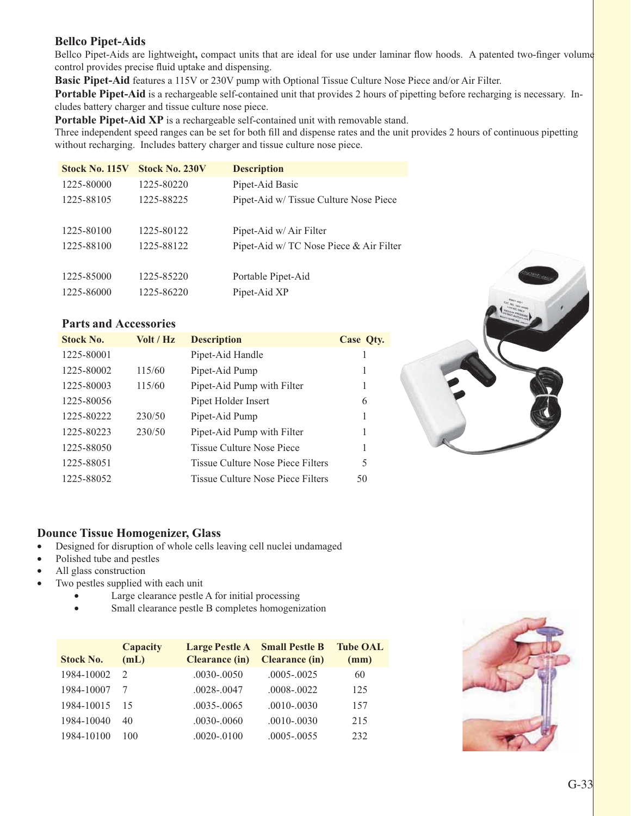#### **Bellco Pipet-Aids**

Bellco Pipet-Aids are lightweight**,** compact units that are ideal for use under laminar flow hoods. A patented two-finger volume control provides precise fluid uptake and dispensing.

**Basic Pipet-Aid** features a 115V or 230V pump with Optional Tissue Culture Nose Piece and/or Air Filter.

**Portable Pipet-Aid** is a rechargeable self-contained unit that provides 2 hours of pipetting before recharging is necessary. Includes battery charger and tissue culture nose piece.

**Portable Pipet-Aid XP** is a rechargeable self-contained unit with removable stand.

Three independent speed ranges can be set for both fill and dispense rates and the unit provides 2 hours of continuous pipetting without recharging. Includes battery charger and tissue culture nose piece.

| <b>Stock No. 115V</b> | <b>Stock No. 230V</b> | <b>Description</b>                      |
|-----------------------|-----------------------|-----------------------------------------|
| 1225-80000            | 1225-80220            | Pipet-Aid Basic                         |
| 1225-88105            | 1225-88225            | Pipet-Aid w/Tissue Culture Nose Piece   |
|                       |                       |                                         |
| 1225-80100            | 1225-80122            | Pipet-Aid w/ Air Filter                 |
| 1225-88100            | 1225-88122            | Pipet-Aid w/ TC Nose Piece & Air Filter |
|                       |                       |                                         |
| 1225-85000            | 1225-85220            | Portable Pipet-Aid                      |
| 1225-86000            | 1225-86220            | Pipet-Aid XP                            |

#### **Parts and Accessories**

| <b>Stock No.</b> | Volt / Hz | <b>Description</b>                       | Case Qty. |
|------------------|-----------|------------------------------------------|-----------|
| 1225-80001       |           | Pipet-Aid Handle                         |           |
| 1225-80002       | 115/60    | Pipet-Aid Pump                           |           |
| 1225-80003       | 115/60    | Pipet-Aid Pump with Filter               | 1         |
| 1225-80056       |           | Pipet Holder Insert                      | 6         |
| 1225-80222       | 230/50    | Pipet-Aid Pump                           | 1         |
| 1225-80223       | 230/50    | Pipet-Aid Pump with Filter               |           |
| 1225-88050       |           | Tissue Culture Nose Piece                |           |
| 1225-88051       |           | <b>Tissue Culture Nose Piece Filters</b> | 5         |
| 1225-88052       |           | Tissue Culture Nose Piece Filters        | 50        |

#### **Dounce Tissue Homogenizer, Glass**

- Designed for disruption of whole cells leaving cell nuclei undamaged
- Polished tube and pestles
- All glass construction
- Two pestles supplied with each unit
	- Large clearance pestle A for initial processing
	- Small clearance pestle B completes homogenization

| <b>Stock No.</b> | Capacity<br>(mL) | <b>Large Pestle A</b> Small Pestle B<br><b>Clearance (in)</b> | <b>Clearance (in)</b> | <b>Tube OAL</b><br>(mm) |
|------------------|------------------|---------------------------------------------------------------|-----------------------|-------------------------|
| 1984-10002       |                  | $.0030 - .0050$                                               | $.0005 - .0025$       | 60                      |
| 1984-10007       |                  | $.0028 - 0047$                                                | $.0008 - .0022$       | 125                     |
| 1984-10015       | 15               | $.0035 - .0065$                                               | $.0010 - .0030$       | 157                     |
| 1984-10040       | 40               | $.0030 - .0060$                                               | $.0010 - .0030$       | 215                     |
| 1984-10100       | 100              | $.0020 - .0100$                                               | $.0005 - .0055$       | 232                     |

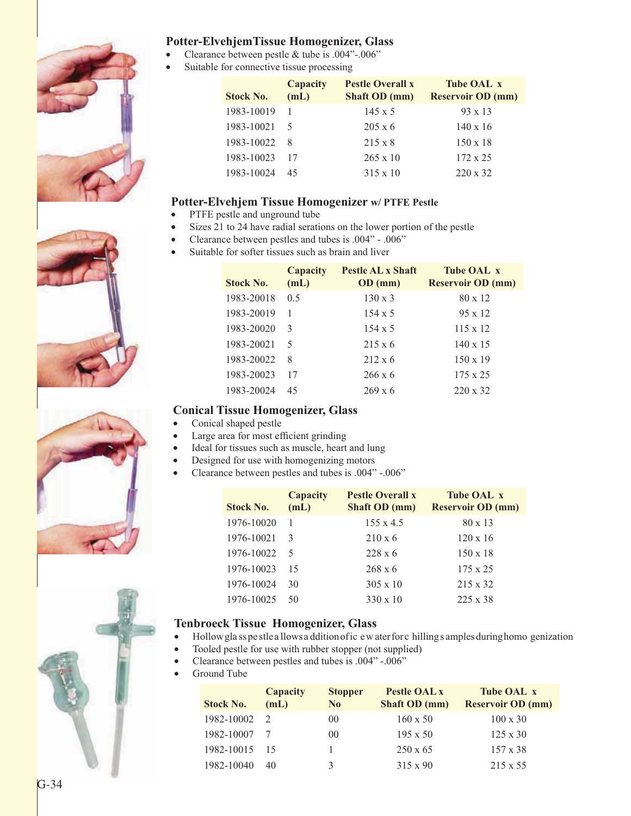

#### **Potter-ElvehjemTissue Homogenizer, Glass**

- Clearance between pestle  $&$  tube is .004"-.006"
- Suitable for connective tissue processing

| <b>Stock No.</b> | Capacity<br>(mL) | <b>Pestle Overall x</b><br>Shaft OD (mm) | <b>Tube OAL x</b><br><b>Reservoir OD (mm)</b> |
|------------------|------------------|------------------------------------------|-----------------------------------------------|
| 1983-10019       |                  | $145 \times 5$                           | $93 \times 13$                                |
| 1983-10021       |                  | $205 \times 6$                           | $140 \times 16$                               |
| 1983-10022       | - 8              | $215 \times 8$                           | $150 \times 18$                               |
| 1983-10023       | - 17             | $265 \times 10$                          | $172 \times 25$                               |
| 1983-10024       | 45               | $315 \times 10$                          | $220 \times 32$                               |

#### **Potter-Elvehjem Tissue Homogenizer w/ PTFE Pestle**

- PTFE pestle and unground tube
- Sizes 21 to 24 have radial serations on the lower portion of the pestle
- Clearance between pestles and tubes is .004" .006"
- Suitable for softer tissues such as brain and liver

| <b>Stock No.</b> | Capacity<br>(mL) | <b>Pestle AL x Shaft</b><br>OD (mm) | <b>Tube OAL x</b><br><b>Reservoir OD (mm)</b> |
|------------------|------------------|-------------------------------------|-----------------------------------------------|
| 1983-20018       | 0.5              | $130 \times 3$                      | $80 \times 12$                                |
| 1983-20019       | 1                | $154 \times 5$                      | $95 \times 12$                                |
| 1983-20020       | $\mathcal{E}$    | $154 \times 5$                      | $115 \times 12$                               |
| 1983-20021       | 5                | $215 \times 6$                      | $140 \times 15$                               |
| 1983-20022       | 8                | $212 \times 6$                      | $150 \times 19$                               |
| 1983-20023       | 17               | $266 \times 6$                      | $175 \times 25$                               |
| 1983-20024       | 45               | $269 \times 6$                      | $220 \times 32$                               |

#### **Conical Tissue Homogenizer, Glass**

- Conical shaped pestle
- Large area for most efficient grinding
- Ideal for tissues such as muscle, heart and lung
- Designed for use with homogenizing motors
- Clearance between pestles and tubes is .004" -.006"

| <b>Stock No.</b> | Capacity<br>(mL)         | <b>Pestle Overall x</b><br><b>Shaft OD</b> (mm) | <b>Tube OAL x</b><br><b>Reservoir OD (mm)</b> |
|------------------|--------------------------|-------------------------------------------------|-----------------------------------------------|
| 1976-10020       |                          | $155 \times 4.5$                                | $80 \times 13$                                |
| 1976-10021       | 3                        | $210 \times 6$                                  | $120 \times 16$                               |
| 1976-10022       | $\overline{\mathcal{L}}$ | $228 \times 6$                                  | $150 \times 18$                               |
| 1976-10023       | 15                       | $268 \times 6$                                  | $175 \times 25$                               |
| 1976-10024       | 30                       | $305 \times 10$                                 | $215 \times 32$                               |
| 1976-10025       | 50                       | $330 \times 10$                                 | $225 \times 38$                               |

#### **Tenbroeck Tissue Homogenizer, Glass**

- Hollow gla ss pe stle a llows a ddition of ic e w ater for c hilling s amples during homo genization
- Tooled pestle for use with rubber stopper (not supplied)
- Clearance between pestles and tubes is .004" -.006"
- Ground Tube

| <b>Stock No.</b> | Capacity<br>(mL) | <b>Stopper</b><br>N <sub>0</sub> | Pestle OAL x<br>Shaft OD (mm) | Tube OAL x<br><b>Reservoir OD (mm)</b> |
|------------------|------------------|----------------------------------|-------------------------------|----------------------------------------|
| 1982-10002       |                  | 00 <sup>0</sup>                  | $160 \times 50$               | $100 \times 30$                        |
| 1982-10007       |                  | 00 <sup>0</sup>                  | $195 \times 50$               | $125 \times 30$                        |
| 1982-10015       | -15              |                                  | $250 \times 65$               | $157 \times 38$                        |
| 1982-10040       | 40               | 3                                | $315 \times 90$               | $215 \times 55$                        |





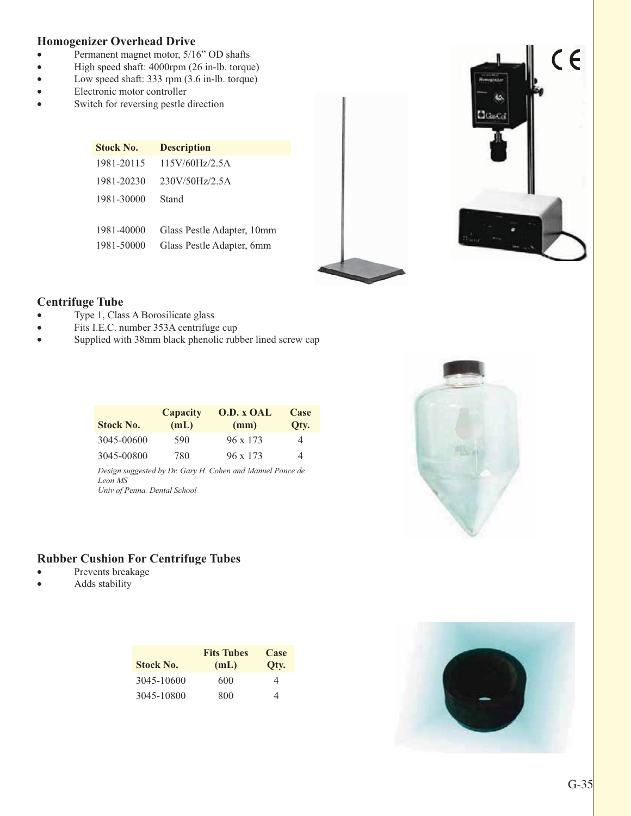#### **Homogenizer Overhead Drive**

- Permanent magnet motor, 5/16" OD shafts
- v High speed shaft: 4000rpm (26 in-lb. torque)
- Low speed shaft: 333 rpm (3.6 in-lb. torque)
- Electronic motor controller
- Switch for reversing pestle direction

| Stock No.  | <b>Description</b>         |
|------------|----------------------------|
| 1981-20115 | 115V/60Hz/2.5A             |
| 1981-20230 | 230V/50Hz/2.5A             |
| 1981-30000 | Stand                      |
|            |                            |
| 1981-40000 | Glass Pestle Adapter, 10mm |
| 1981-50000 | Glass Pestle Adapter, 6mm  |



#### **Centrifuge Tube**

- $\bullet$  Type 1, Class A Borosilicate glass
- Fits I.E.C. number 353A centrifuge cup
- Supplied with 38mm black phenolic rubber lined screw cap

| <b>Stock No.</b> | Capacity<br>(mL) | <b>O.D. x OAL</b><br>(mm) | Case<br>Oty. |
|------------------|------------------|---------------------------|--------------|
| 3045-00600       | 590              | $96 \times 173$           | 4            |
| 3045-00800       | 780              | $96 \times 173$           | 4            |

*Design suggested by Dr. Gary H. Cohen and Manuel Ponce de Leon MS Univ of Penna. Dental School*

#### **Rubber Cushion For Centrifuge Tubes**

- Prevents breakage
- Adds stability

| <b>Stock No.</b> | <b>Fits Tubes</b><br>(mL) | Case<br>Qty. |
|------------------|---------------------------|--------------|
| 3045-10600       | 600                       | 4            |
| 3045-10800       | 800                       | Δ            |



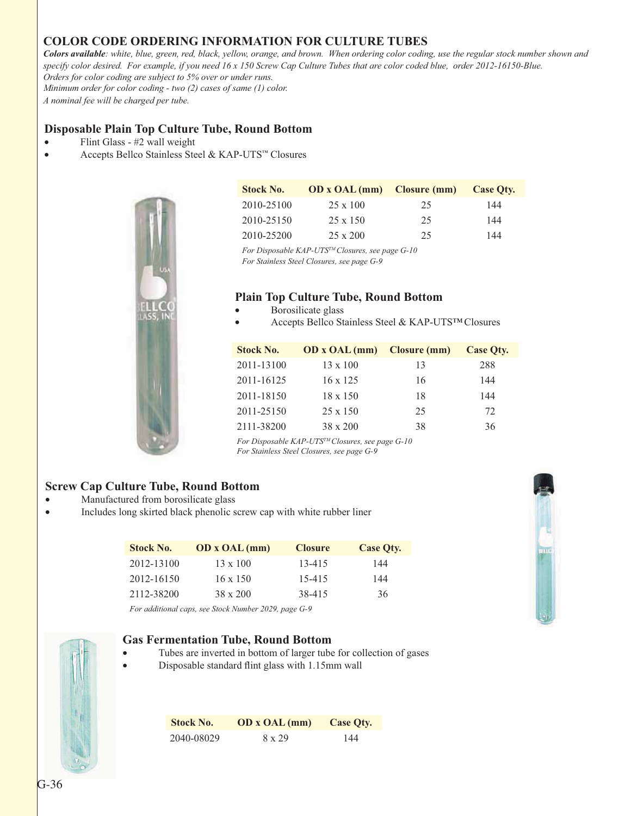#### **COLOR CODE ORDERING INFORMATION FOR CULTURE TUBES**

*Colors available: white, blue, green, red, black, yellow, orange, and brown. When ordering color coding, use the regular stock number shown and specify color desired. For example, if you need 16 x 150 Screw Cap Culture Tubes that are color coded blue, order 2012-16150-Blue. Orders for color coding are subject to 5% over or under runs.*

*Minimum order for color coding - two (2) cases of same (1) color. A nominal fee will be charged per tube.*

#### **Disposable Plain Top Culture Tube, Round Bottom**

- Flint Glass #2 wall weight
- v Accepts Bellco Stainless Steel & KAP-UTS™ Closures



| <b>Stock No.</b> | <b>OD</b> x <b>OAL</b> (mm) Closure (mm) |    | Case Oty. |
|------------------|------------------------------------------|----|-----------|
| 2010-25100       | $25 \times 100$                          | 25 | 144       |
| 2010-25150       | $25 \times 150$                          | 25 | 144       |
| 2010-25200       | $25 \times 200$                          | 25 | 144       |

*For Disposable KAP-UTSTM Closures, see page G-10 For Stainless Steel Closures, see page G-9*

#### **Plain Top Culture Tube, Round Bottom**

- Borosilicate glass
- Accepts Bellco Stainless Steel & KAP-UTS™ Closures

| <b>Stock No.</b> | <b>OD</b> x <b>OAL</b> (mm) <b>Closure (mm)</b> |    | Case Oty. |
|------------------|-------------------------------------------------|----|-----------|
| 2011-13100       | $13 \times 100$                                 | 13 | 288       |
| 2011-16125       | $16 \times 125$                                 | 16 | 144       |
| 2011-18150       | $18 \times 150$                                 | 18 | 144       |
| 2011-25150       | $25 \times 150$                                 | 25 | 72        |
| 2111-38200       | $38 \times 200$                                 | 38 | 36        |

*For Disposable KAP-UTSTM Closures, see page G-10 For Stainless Steel Closures, see page G-9*

#### **Screw Cap Culture Tube, Round Bottom**

- Manufactured from borosilicate glass
- Includes long skirted black phenolic screw cap with white rubber liner

| <b>Stock No.</b> | <b>OD</b> x <b>OAL</b> (mm)                                                                                | <b>Closure</b> | Case Oty. |
|------------------|------------------------------------------------------------------------------------------------------------|----------------|-----------|
| 2012-13100       | $13 \times 100$                                                                                            | $13 - 415$     | 144       |
| 2012-16150       | $16 \times 150$                                                                                            | 15-415         | 144       |
| 2112-38200       | $38 \times 200$                                                                                            | 38-415         | 36        |
|                  | $F_{1}, \ldots, H_{M}$ , $\ldots$ , $\ldots$ , $G_{i}$ , $L M_{i}$ , $L \cdot 2020$ , $\ldots$ , $C_{i}$ 0 |                |           |





#### **Gas Fermentation Tube, Round Bottom**

- Tubes are inverted in bottom of larger tube for collection of gases
- Disposable standard flint glass with 1.15mm wall

| <b>Stock No.</b> | OD x OAL (mm) | Case Oty. |
|------------------|---------------|-----------|
| 2040-08029       | 8 x 29        | 144       |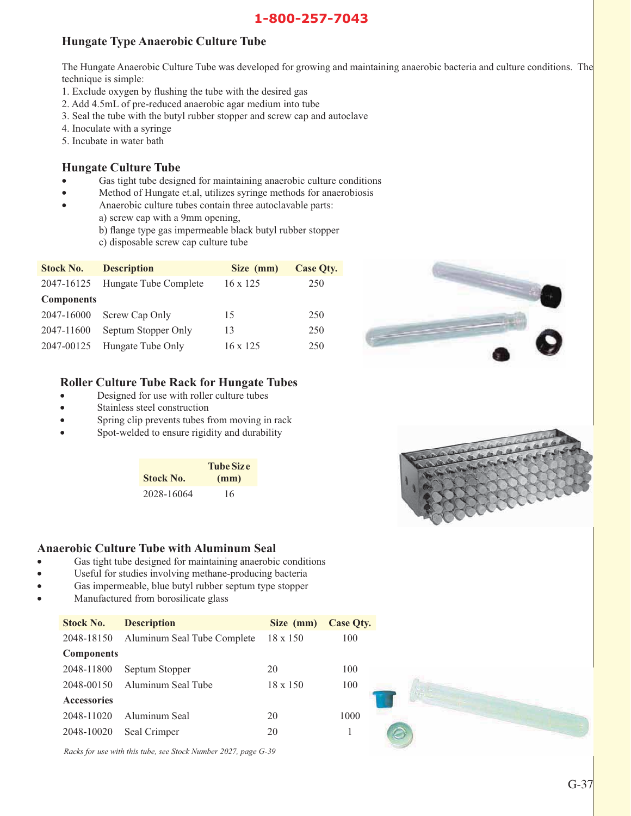#### 1-800-257-7043 **1-800-257-7043**

#### **Hungate Type Anaerobic Culture Tube**

The Hungate Anaerobic Culture Tube was developed for growing and maintaining anaerobic bacteria and culture conditions. The technique is simple:

- 1. Exclude oxygen by flushing the tube with the desired gas
- 2. Add 4.5mL of pre-reduced anaerobic agar medium into tube
- 3. Seal the tube with the butyl rubber stopper and screw cap and autoclave
- 4. Inoculate with a syringe
- 5. Incubate in water bath

#### **Hungate Culture Tube**

- Gas tight tube designed for maintaining anaerobic culture conditions
- Method of Hungate et.al, utilizes syringe methods for anaerobiosis
- Anaerobic culture tubes contain three autoclavable parts:
	- a) screw cap with a 9mm opening,
		- b) flange type gas impermeable black butyl rubber stopper
		- c) disposable screw cap culture tube

| <b>Stock No.</b>  | <b>Description</b>    | Size (mm)       | Case Oty. |
|-------------------|-----------------------|-----------------|-----------|
| 2047-16125        | Hungate Tube Complete | $16 \times 125$ | 250       |
| <b>Components</b> |                       |                 |           |
| 2047-16000        | Screw Cap Only        | 15              | 250       |
| 2047-11600        | Septum Stopper Only   | 13              | 250       |
| 2047-00125        | Hungate Tube Only     | $16 \times 125$ | 250       |





- Designed for use with roller culture tubes
- Stainless steel construction
- Spring clip prevents tubes from moving in rack
- Spot-welded to ensure rigidity and durability

|                  | <b>Tube Size</b> |
|------------------|------------------|
| <b>Stock No.</b> | (mm)             |
| 2028-16064       | 16               |

#### **Anaerobic Culture Tube with Aluminum Seal**

- v Gas tight tube designed for maintaining anaerobic conditions
- Useful for studies involving methane-producing bacteria
- Gas impermeable, blue butyl rubber septum type stopper
- Manufactured from borosilicate glass

| <b>Stock No.</b>   | <b>Description</b>          | Size (mm)       | <b>Case Qty.</b> |
|--------------------|-----------------------------|-----------------|------------------|
| 2048-18150         | Aluminum Seal Tube Complete | $18 \times 150$ | 100              |
| <b>Components</b>  |                             |                 |                  |
| 2048-11800         | Septum Stopper              | 20              | 100              |
| 2048-00150         | Aluminum Seal Tube          | $18 \times 150$ | 100              |
| <b>Accessories</b> |                             |                 |                  |
| 2048-11020         | Aluminum Seal               | 20              | 1000             |
| 2048-10020         | Seal Crimper                | 20              |                  |

*Racks for use with this tube, see Stock Number 2027, page G-39*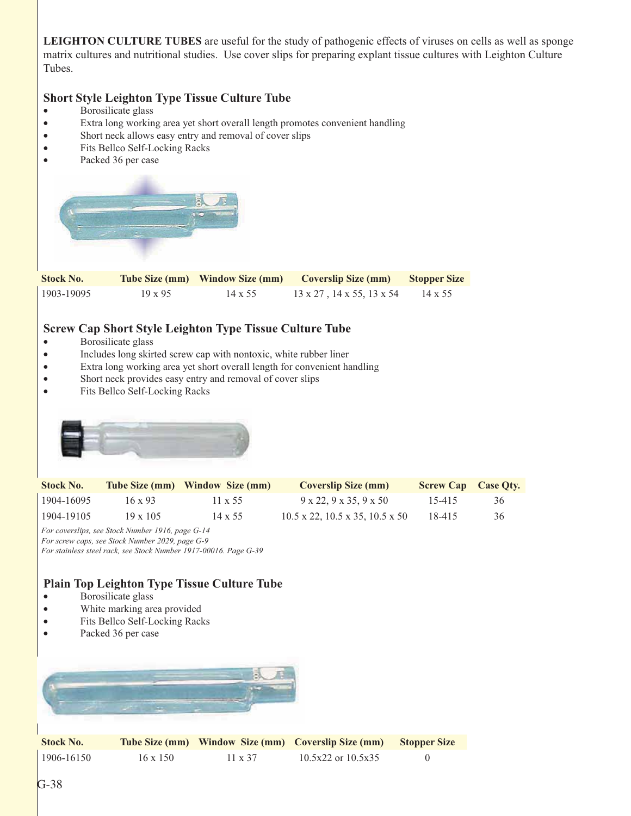**LEIGHTON CULTURE TUBES** are useful for the study of pathogenic effects of viruses on cells as well as sponge matrix cultures and nutritional studies. Use cover slips for preparing explant tissue cultures with Leighton Culture Tubes.

#### **Short Style Leighton Type Tissue Culture Tube**

- Borosilicate glass
- v Extra long working area yet short overall length promotes convenient handling
- Short neck allows easy entry and removal of cover slips
- Fits Bellco Self-Locking Racks
- Packed 36 per case



#### **Screw Cap Short Style Leighton Type Tissue Culture Tube**

- Borosilicate glass
- Includes long skirted screw cap with nontoxic, white rubber liner
- v Extra long working area yet short overall length for convenient handling
- Short neck provides easy entry and removal of cover slips
- Fits Bellco Self-Locking Racks



| <b>Stock No.</b> |                 | Tube Size (mm) Window Size (mm) | <b>Coverslip Size (mm)</b>                             | <b>Screw Cap Case Oty.</b> |    |
|------------------|-----------------|---------------------------------|--------------------------------------------------------|----------------------------|----|
| 1904-16095       | $16 \times 93$  | $11 \times 55$                  | $9 \times 22.9 \times 35.9 \times 50$                  | 15-415                     | 36 |
| 1904-19105       | $19 \times 105$ | $14 \times 55$                  | $10.5 \times 22$ , $10.5 \times 35$ , $10.5 \times 50$ | 18-415                     | 36 |

*For coverslips, see Stock Number 1916, page G-14 For screw caps, see Stock Number 2029, page G-9 For stainless steel rack, see Stock Number 1917-00016. Page G-39*

#### **Plain Top Leighton Type Tissue Culture Tube**

- Borosilicate glass
- White marking area provided
- Fits Bellco Self-Locking Racks
- Packed 36 per case



| Stock No.      |                 |                | Tube Size (mm) Window Size (mm) Coverslip Size (mm) Stopper Size |  |
|----------------|-----------------|----------------|------------------------------------------------------------------|--|
| $1906 - 16150$ | $16 \times 150$ | $11 \times 37$ | $10.5x22$ or $10.5x35$                                           |  |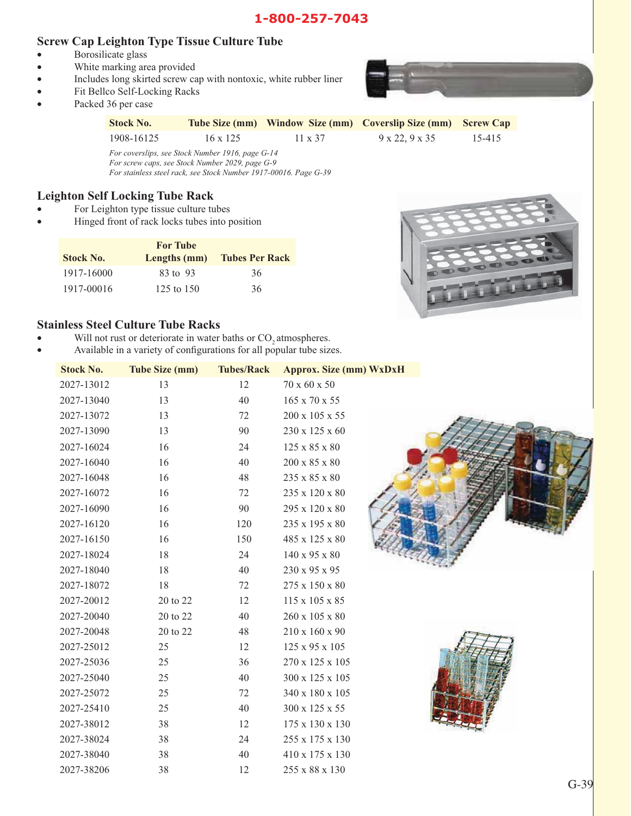#### **Screw Cap Leighton Type Tissue Culture Tube**

- Borosilicate glass
- White marking area provided
- v Includes long skirted screw cap with nontoxic, white rubber liner
- Fit Bellco Self-Locking Racks
- Packed 36 per case



| <b>Stock No.</b> |                 |                | Tube Size (mm) Window Size (mm) Coverslip Size (mm) Screw Cap |        |
|------------------|-----------------|----------------|---------------------------------------------------------------|--------|
| 1908-16125       | $16 \times 125$ | $11 \times 37$ | $9 \times 22.9 \times 35$                                     | 15-415 |

*For coverslips, see Stock Number 1916, page G-14 For screw caps, see Stock Number 2029, page G-9 For stainless steel rack, see Stock Number 1917-00016. Page G-39*

#### **Leighton Self Locking Tube Rack**

- For Leighton type tissue culture tubes
- Hinged front of rack locks tubes into position

| <b>Stock No.</b> | <b>For Tube</b><br>Lengths (mm) | <b>Tubes Per Rack</b> |
|------------------|---------------------------------|-----------------------|
| 1917-16000       | 83 to 93                        | 36                    |
| 1917-00016       | 125 to $150$                    | 36                    |



#### **Stainless Steel Culture Tube Racks**

- Will not rust or deteriorate in water baths or CO<sub>2</sub> atmospheres.
- Available in a variety of configurations for all popular tube sizes.

| <b>Stock No.</b> | <b>Tube Size (mm)</b> | <b>Tubes/Rack</b> | <b>Approx. Size (mm) WxDxH</b> |  |
|------------------|-----------------------|-------------------|--------------------------------|--|
| 2027-13012       | 13                    | 12                | $70 \times 60 \times 50$       |  |
| 2027-13040       | 13                    | 40                | 165 x 70 x 55                  |  |
| 2027-13072       | 13                    | 72                | 200 x 105 x 55                 |  |
| 2027-13090       | 13                    | 90                | 230 x 125 x 60                 |  |
| 2027-16024       | 16                    | 24                | 125 x 85 x 80                  |  |
| 2027-16040       | 16                    | 40                | 200 x 85 x 80                  |  |
| 2027-16048       | 16                    | 48                | 235 x 85 x 80                  |  |
| 2027-16072       | 16                    | 72                | 235 x 120 x 80                 |  |
| 2027-16090       | 16                    | 90                | 295 x 120 x 80                 |  |
| 2027-16120       | 16                    | 120               | 235 x 195 x 80                 |  |
| 2027-16150       | 16                    | 150               | 485 x 125 x 80                 |  |
| 2027-18024       | 18                    | 24                | 140 x 95 x 80                  |  |
| 2027-18040       | 18                    | 40                | 230 x 95 x 95                  |  |
| 2027-18072       | 18                    | 72                | 275 x 150 x 80                 |  |
| 2027-20012       | 20 to 22              | 12                | 115 x 105 x 85                 |  |
| 2027-20040       | 20 to 22              | 40                | 260 x 105 x 80                 |  |
| 2027-20048       | 20 to 22              | 48                | 210 x 160 x 90                 |  |
| 2027-25012       | 25                    | 12                | 125 x 95 x 105                 |  |
| 2027-25036       | 25                    | 36                | 270 x 125 x 105                |  |
| 2027-25040       | 25                    | 40                | 300 x 125 x 105                |  |
| 2027-25072       | 25                    | 72                | 340 x 180 x 105                |  |
| 2027-25410       | 25                    | 40                | 300 x 125 x 55                 |  |
| 2027-38012       | 38                    | 12                | 175 x 130 x 130                |  |
| 2027-38024       | 38                    | 24                | 255 x 175 x 130                |  |
| 2027-38040       | 38                    | 40                | 410 x 175 x 130                |  |
| 2027-38206       | 38                    | 12                | 255 x 88 x 130                 |  |